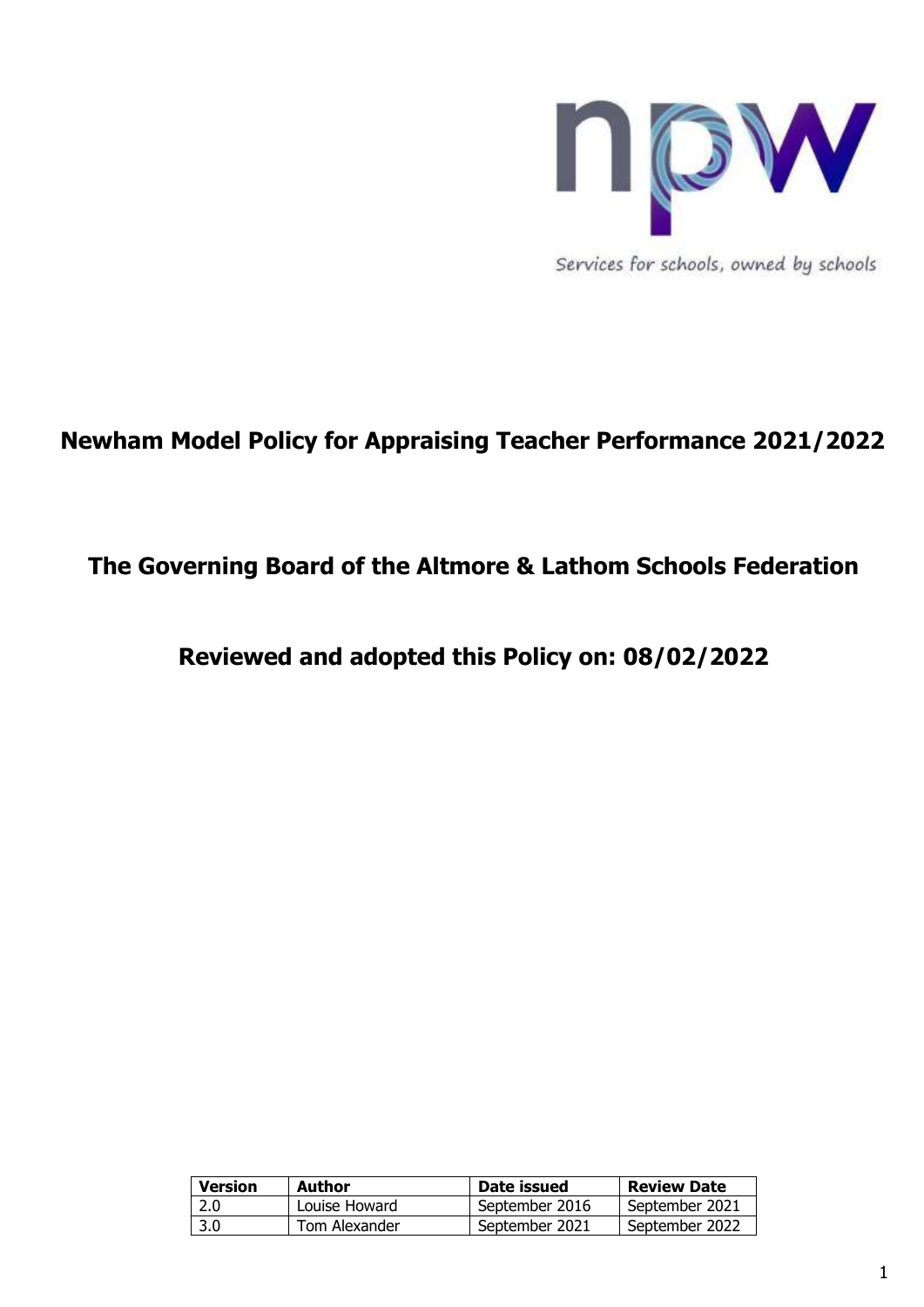

Services for schools, owned by schools

# **Newham Model Policy for Appraising Teacher Performance 2021/2022**

## **The Governing Board of the Altmore & Lathom Schools Federation**

**Reviewed and adopted this Policy on: 08/02/2022**

| <b>Version</b> | <b>Author</b> | Date issued    | <b>Review Date</b> |
|----------------|---------------|----------------|--------------------|
| 2.0            | Louise Howard | September 2016 | September 2021     |
| 3.0            | Tom Alexander | September 2021 | September 2022     |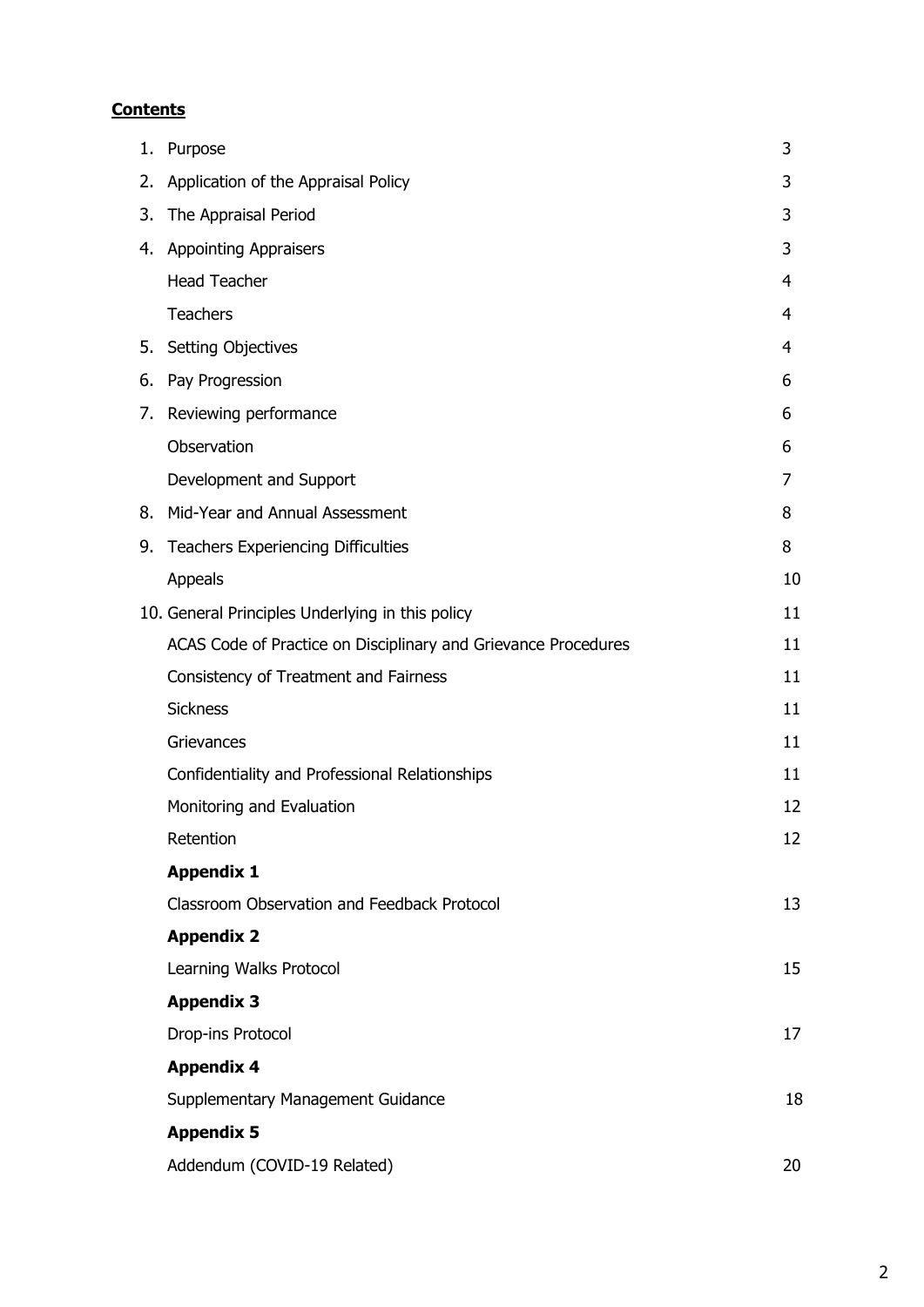## **Contents**

|    | 1. Purpose                                                     | 3  |
|----|----------------------------------------------------------------|----|
|    | 2. Application of the Appraisal Policy                         | 3  |
| 3. | The Appraisal Period                                           | 3  |
|    | 4. Appointing Appraisers                                       | 3  |
|    | <b>Head Teacher</b>                                            | 4  |
|    | Teachers                                                       | 4  |
| 5. | <b>Setting Objectives</b>                                      | 4  |
| 6. | Pay Progression                                                | 6  |
|    | 7. Reviewing performance                                       | 6  |
|    | Observation                                                    | 6  |
|    | Development and Support                                        | 7  |
|    | 8. Mid-Year and Annual Assessment                              | 8  |
| 9. | <b>Teachers Experiencing Difficulties</b>                      | 8  |
|    | Appeals                                                        | 10 |
|    | 10. General Principles Underlying in this policy               | 11 |
|    | ACAS Code of Practice on Disciplinary and Grievance Procedures | 11 |
|    | Consistency of Treatment and Fairness                          | 11 |
|    | <b>Sickness</b>                                                | 11 |
|    | Grievances                                                     | 11 |
|    | Confidentiality and Professional Relationships                 | 11 |
|    | Monitoring and Evaluation                                      | 12 |
|    | Retention                                                      | 12 |
|    | <b>Appendix 1</b>                                              |    |
|    | Classroom Observation and Feedback Protocol                    | 13 |
|    | <b>Appendix 2</b>                                              |    |
|    | Learning Walks Protocol                                        | 15 |
|    | <b>Appendix 3</b>                                              |    |
|    | Drop-ins Protocol                                              | 17 |
|    | <b>Appendix 4</b>                                              |    |
|    | Supplementary Management Guidance                              | 18 |
|    | <b>Appendix 5</b>                                              |    |
|    | Addendum (COVID-19 Related)                                    | 20 |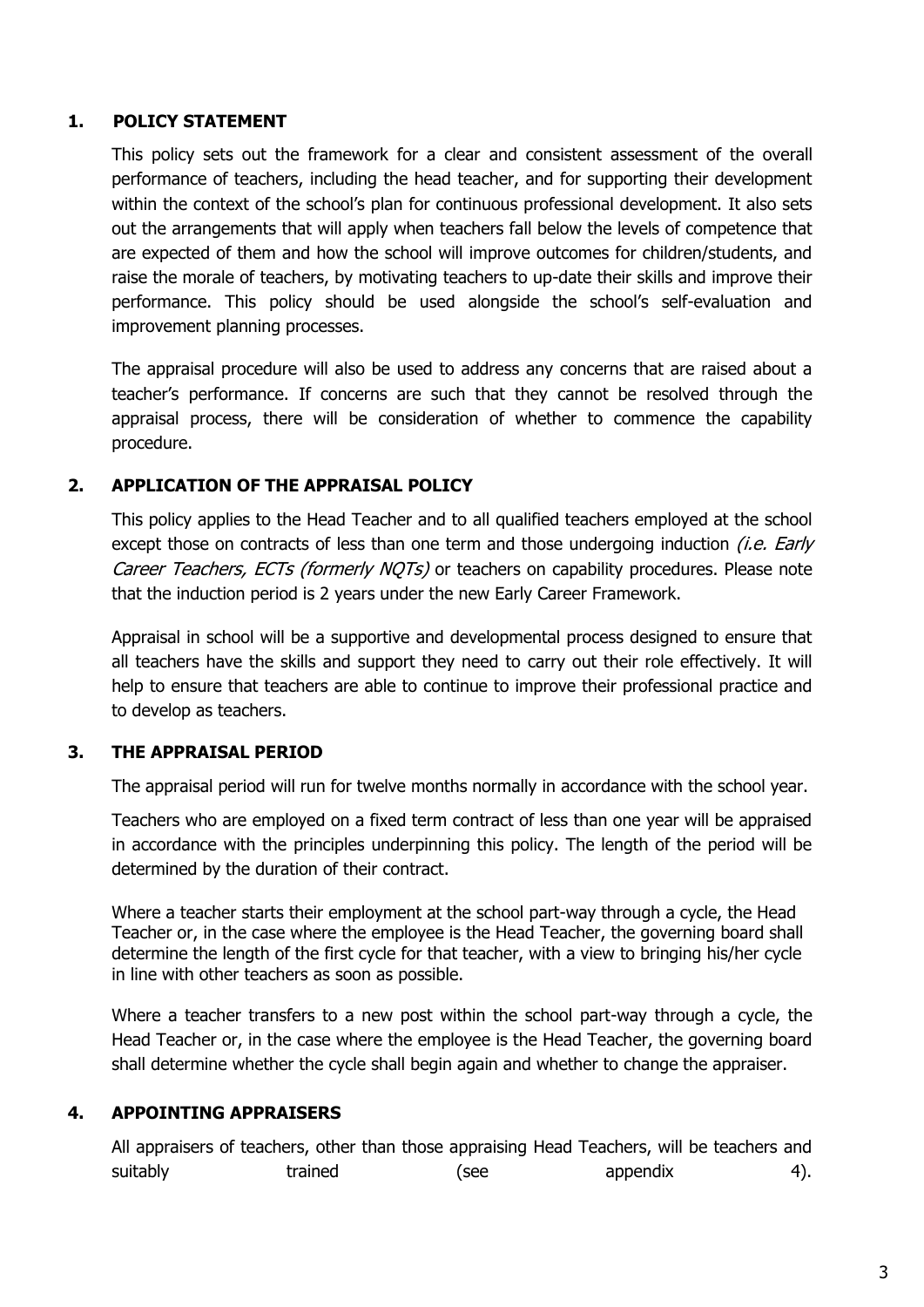## **1. POLICY STATEMENT**

This policy sets out the framework for a clear and consistent assessment of the overall performance of teachers, including the head teacher, and for supporting their development within the context of the school's plan for continuous professional development. It also sets out the arrangements that will apply when teachers fall below the levels of competence that are expected of them and how the school will improve outcomes for children/students, and raise the morale of teachers, by motivating teachers to up-date their skills and improve their performance. This policy should be used alongside the school's self-evaluation and improvement planning processes.

The appraisal procedure will also be used to address any concerns that are raised about a teacher's performance. If concerns are such that they cannot be resolved through the appraisal process, there will be consideration of whether to commence the capability procedure.

## <span id="page-2-0"></span>**2. APPLICATION OF THE APPRAISAL POLICY**

This policy applies to the Head Teacher and to all qualified teachers employed at the school except those on contracts of less than one term and those undergoing induction *(i.e. Early* Career Teachers, ECTs (formerly NOTs) or teachers on capability procedures. Please note that the induction period is 2 years under the new Early Career Framework.

Appraisal in school will be a supportive and developmental process designed to ensure that all teachers have the skills and support they need to carry out their role effectively. It will help to ensure that teachers are able to continue to improve their professional practice and to develop as teachers.

## <span id="page-2-1"></span>**3. THE APPRAISAL PERIOD**

The appraisal period will run for twelve months normally in accordance with the school year.

Teachers who are employed on a fixed term contract of less than one year will be appraised in accordance with the principles underpinning this policy. The length of the period will be determined by the duration of their contract.

Where a teacher starts their employment at the school part-way through a cycle, the Head Teacher or, in the case where the employee is the Head Teacher, the governing board shall determine the length of the first cycle for that teacher, with a view to bringing his/her cycle in line with other teachers as soon as possible.

Where a teacher transfers to a new post within the school part-way through a cycle, the Head Teacher or, in the case where the employee is the Head Teacher, the governing board shall determine whether the cycle shall begin again and whether to change the appraiser.

## <span id="page-2-2"></span>**4. APPOINTING APPRAISERS**

All appraisers of teachers, other than those appraising Head Teachers, will be teachers and suitably trained (see appendix 4).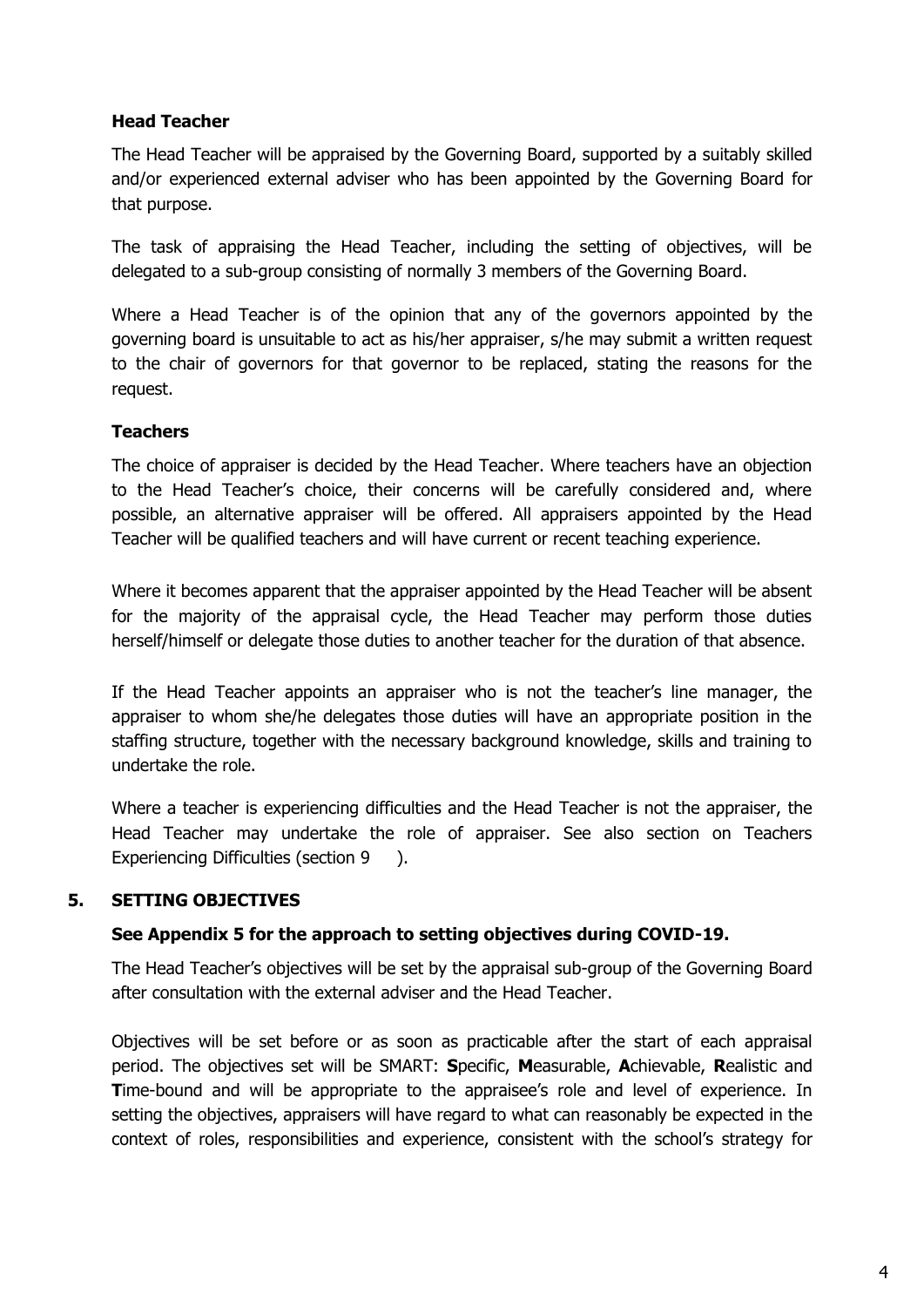## <span id="page-3-0"></span>**Head Teacher**

The Head Teacher will be appraised by the Governing Board, supported by a suitably skilled and/or experienced external adviser who has been appointed by the Governing Board for that purpose.

The task of appraising the Head Teacher, including the setting of objectives, will be delegated to a sub-group consisting of normally 3 members of the Governing Board.

Where a Head Teacher is of the opinion that any of the governors appointed by the governing board is unsuitable to act as his/her appraiser, s/he may submit a written request to the chair of governors for that governor to be replaced, stating the reasons for the request.

## <span id="page-3-1"></span>**Teachers**

The choice of appraiser is decided by the Head Teacher. Where teachers have an objection to the Head Teacher's choice, their concerns will be carefully considered and, where possible, an alternative appraiser will be offered. All appraisers appointed by the Head Teacher will be qualified teachers and will have current or recent teaching experience.

Where it becomes apparent that the appraiser appointed by the Head Teacher will be absent for the majority of the appraisal cycle, the Head Teacher may perform those duties herself/himself or delegate those duties to another teacher for the duration of that absence.

If the Head Teacher appoints an appraiser who is not the teacher's line manager, the appraiser to whom she/he delegates those duties will have an appropriate position in the staffing structure, together with the necessary background knowledge, skills and training to undertake the role.

Where a teacher is experiencing difficulties and the Head Teacher is not the appraiser, the Head Teacher may undertake the role of appraiser. See also section on Teachers Experiencing Difficulties (section 9 ).

## <span id="page-3-2"></span>**5. SETTING OBJECTIVES**

#### **See Appendix 5 for the approach to setting objectives during COVID-19.**

The Head Teacher's objectives will be set by the appraisal sub-group of the Governing Board after consultation with the external adviser and the Head Teacher.

Objectives will be set before or as soon as practicable after the start of each appraisal period. The objectives set will be SMART: **S**pecific, **M**easurable, **A**chievable, **R**ealistic and **T**ime-bound and will be appropriate to the appraisee's role and level of experience. In setting the objectives, appraisers will have regard to what can reasonably be expected in the context of roles, responsibilities and experience, consistent with the school's strategy for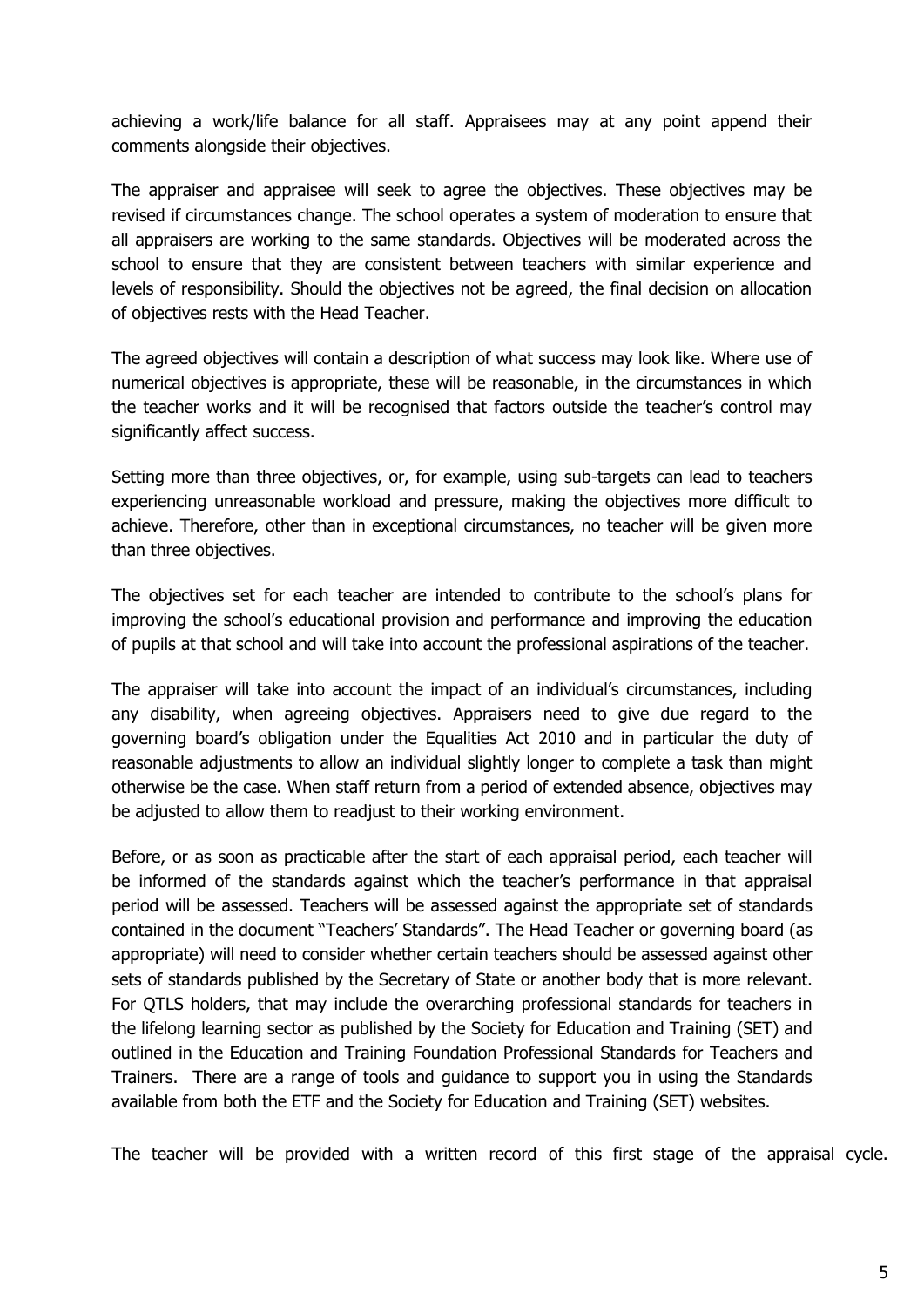achieving a work/life balance for all staff. Appraisees may at any point append their comments alongside their objectives.

The appraiser and appraisee will seek to agree the objectives. These objectives may be revised if circumstances change. The school operates a system of moderation to ensure that all appraisers are working to the same standards. Objectives will be moderated across the school to ensure that they are consistent between teachers with similar experience and levels of responsibility. Should the objectives not be agreed, the final decision on allocation of objectives rests with the Head Teacher.

The agreed objectives will contain a description of what success may look like. Where use of numerical objectives is appropriate, these will be reasonable, in the circumstances in which the teacher works and it will be recognised that factors outside the teacher's control may significantly affect success.

Setting more than three objectives, or, for example, using sub-targets can lead to teachers experiencing unreasonable workload and pressure, making the objectives more difficult to achieve. Therefore, other than in exceptional circumstances, no teacher will be given more than three objectives.

The objectives set for each teacher are intended to contribute to the school's plans for improving the school's educational provision and performance and improving the education of pupils at that school and will take into account the professional aspirations of the teacher.

The appraiser will take into account the impact of an individual's circumstances, including any disability, when agreeing objectives. Appraisers need to give due regard to the governing board's obligation under the Equalities Act 2010 and in particular the duty of reasonable adjustments to allow an individual slightly longer to complete a task than might otherwise be the case. When staff return from a period of extended absence, objectives may be adjusted to allow them to readjust to their working environment.

Before, or as soon as practicable after the start of each appraisal period, each teacher will be informed of the standards against which the teacher's performance in that appraisal period will be assessed. Teachers will be assessed against the appropriate set of standards contained in the document "Teachers' Standards". The Head Teacher or governing board (as appropriate) will need to consider whether certain teachers should be assessed against other sets of standards published by the Secretary of State or another body that is more relevant. For QTLS holders, that may include the overarching professional standards for teachers in the lifelong learning sector as published by the Society for Education and Training (SET) and outlined in the Education and Training Foundation Professional Standards for Teachers and Trainers. There are a range of tools and guidance to support you in using the Standards available from both the ETF and the Society for Education and Training (SET) websites.

The teacher will be provided with a written record of this first stage of the appraisal cycle.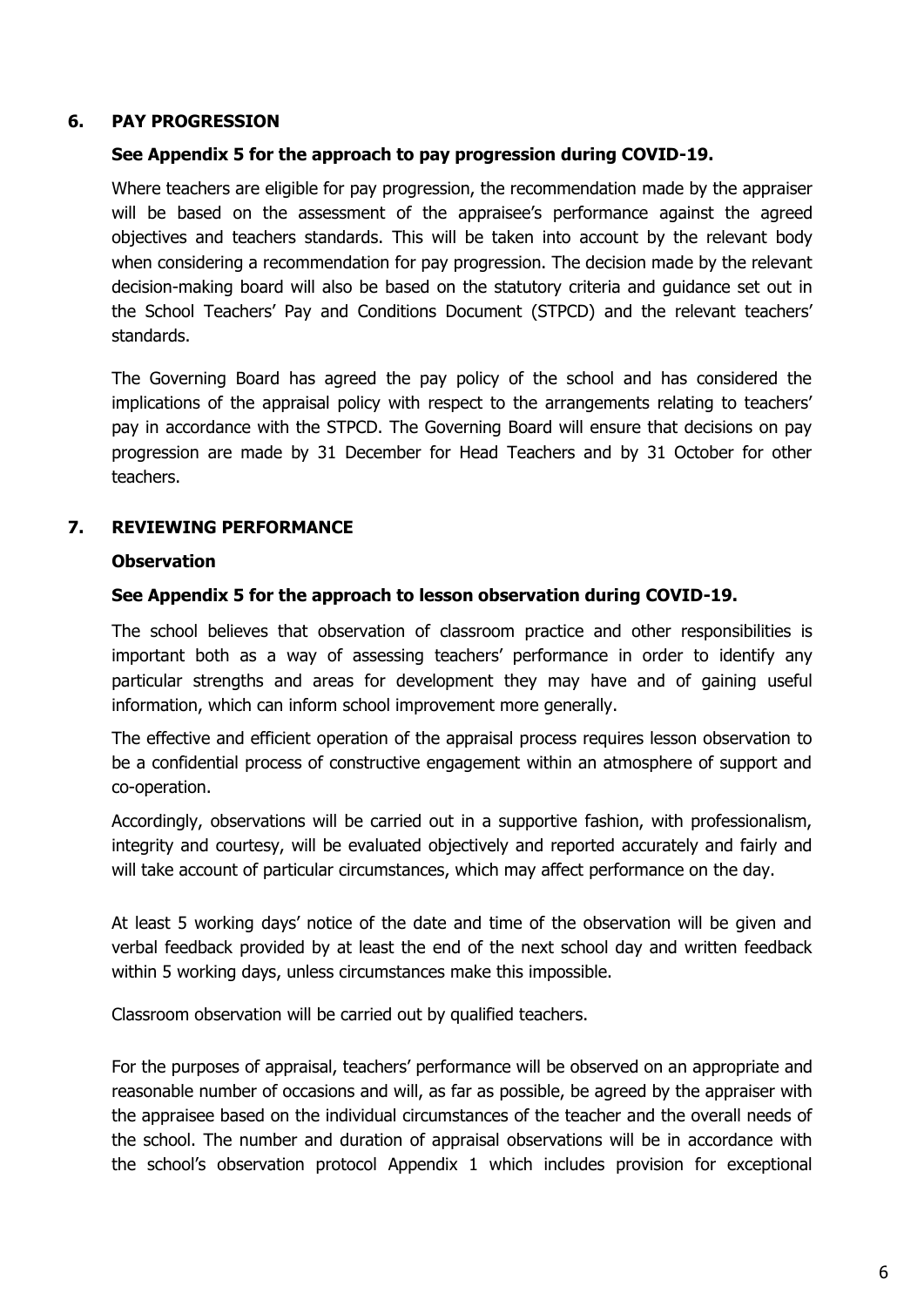#### <span id="page-5-0"></span>**6. PAY PROGRESSION**

#### **See Appendix 5 for the approach to pay progression during COVID-19.**

Where teachers are eligible for pay progression, the recommendation made by the appraiser will be based on the assessment of the appraisee's performance against the agreed objectives and teachers standards. This will be taken into account by the relevant body when considering a recommendation for pay progression. The decision made by the relevant decision-making board will also be based on the statutory criteria and guidance set out in the School Teachers' Pay and Conditions Document (STPCD) and the relevant teachers' standards.

The Governing Board has agreed the pay policy of the school and has considered the implications of the appraisal policy with respect to the arrangements relating to teachers' pay in accordance with the STPCD. The Governing Board will ensure that decisions on pay progression are made by 31 December for Head Teachers and by 31 October for other teachers.

## **7. REVIEWING PERFORMANCE**

#### **Observation**

#### **See Appendix 5 for the approach to lesson observation during COVID-19.**

The school believes that observation of classroom practice and other responsibilities is important both as a way of assessing teachers' performance in order to identify any particular strengths and areas for development they may have and of gaining useful information, which can inform school improvement more generally.

The effective and efficient operation of the appraisal process requires lesson observation to be a confidential process of constructive engagement within an atmosphere of support and co-operation.

Accordingly, observations will be carried out in a supportive fashion, with professionalism, integrity and courtesy, will be evaluated objectively and reported accurately and fairly and will take account of particular circumstances, which may affect performance on the day.

At least 5 working days' notice of the date and time of the observation will be given and verbal feedback provided by at least the end of the next school day and written feedback within 5 working days, unless circumstances make this impossible.

Classroom observation will be carried out by qualified teachers.

For the purposes of appraisal, teachers' performance will be observed on an appropriate and reasonable number of occasions and will, as far as possible, be agreed by the appraiser with the appraisee based on the individual circumstances of the teacher and the overall needs of the school. The number and duration of appraisal observations will be in accordance with the school's observation protocol Appendix 1 which includes provision for exceptional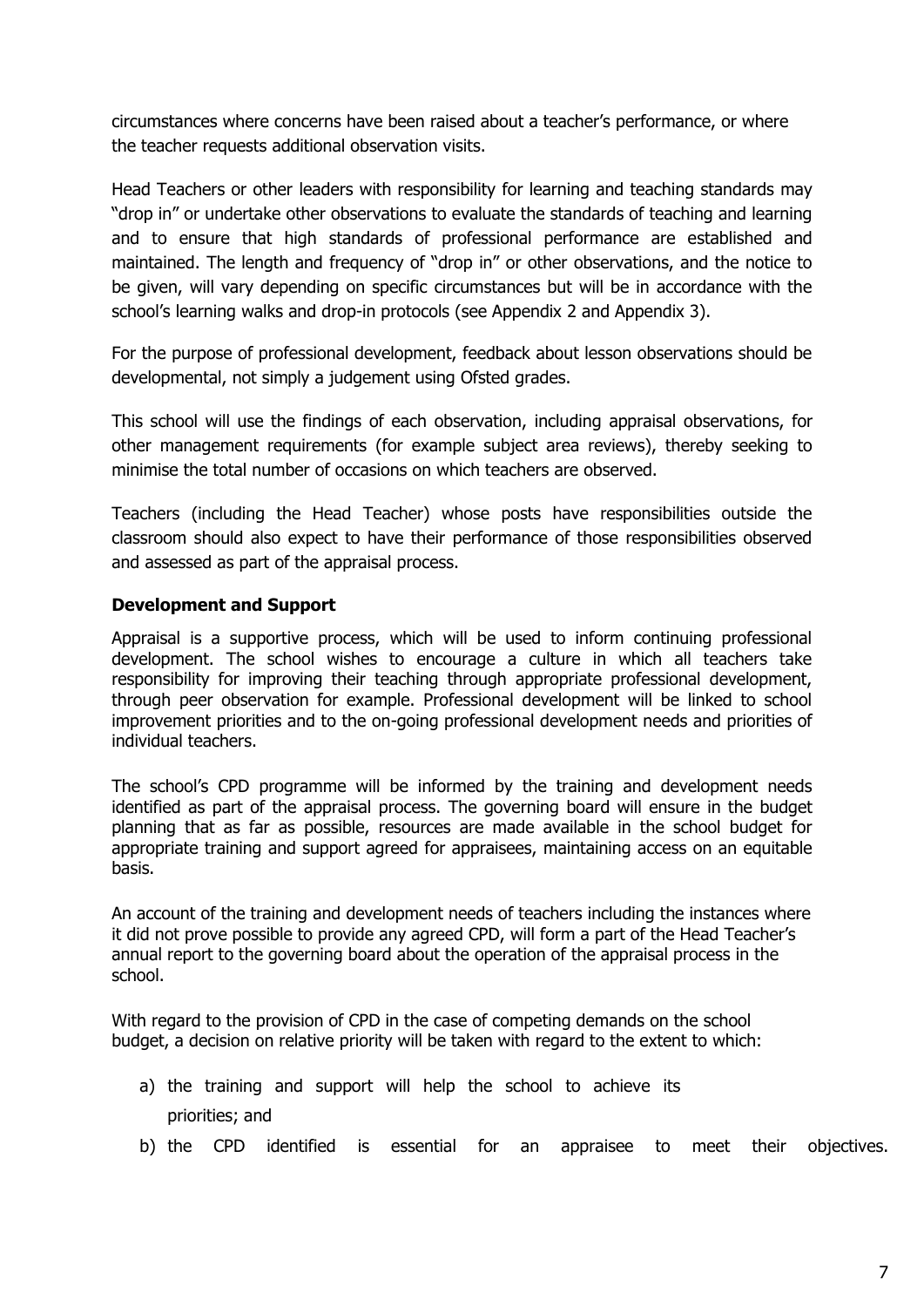circumstances where concerns have been raised about a teacher's performance, or where the teacher requests additional observation visits.

Head Teachers or other leaders with responsibility for learning and teaching standards may "drop in" or undertake other observations to evaluate the standards of teaching and learning and to ensure that high standards of professional performance are established and maintained. The length and frequency of "drop in" or other observations, and the notice to be given, will vary depending on specific circumstances but will be in accordance with the school's learning walks and drop-in protocols (see Appendix 2 and Appendix 3).

For the purpose of professional development, feedback about lesson observations should be developmental, not simply a judgement using Ofsted grades.

This school will use the findings of each observation, including appraisal observations, for other management requirements (for example subject area reviews), thereby seeking to minimise the total number of occasions on which teachers are observed.

Teachers (including the Head Teacher) whose posts have responsibilities outside the classroom should also expect to have their performance of those responsibilities observed and assessed as part of the appraisal process.

## <span id="page-6-0"></span>**Development and Support**

Appraisal is a supportive process, which will be used to inform continuing professional development. The school wishes to encourage a culture in which all teachers take responsibility for improving their teaching through appropriate professional development, through peer observation for example. Professional development will be linked to school improvement priorities and to the on-going professional development needs and priorities of individual teachers.

The school's CPD programme will be informed by the training and development needs identified as part of the appraisal process. The governing board will ensure in the budget planning that as far as possible, resources are made available in the school budget for appropriate training and support agreed for appraisees, maintaining access on an equitable basis.

An account of the training and development needs of teachers including the instances where it did not prove possible to provide any agreed CPD, will form a part of the Head Teacher's annual report to the governing board about the operation of the appraisal process in the school.

With regard to the provision of CPD in the case of competing demands on the school budget, a decision on relative priority will be taken with regard to the extent to which:

- a) the training and support will help the school to achieve its priorities; and
- b) the CPD identified is essential for an appraisee to meet their objectives.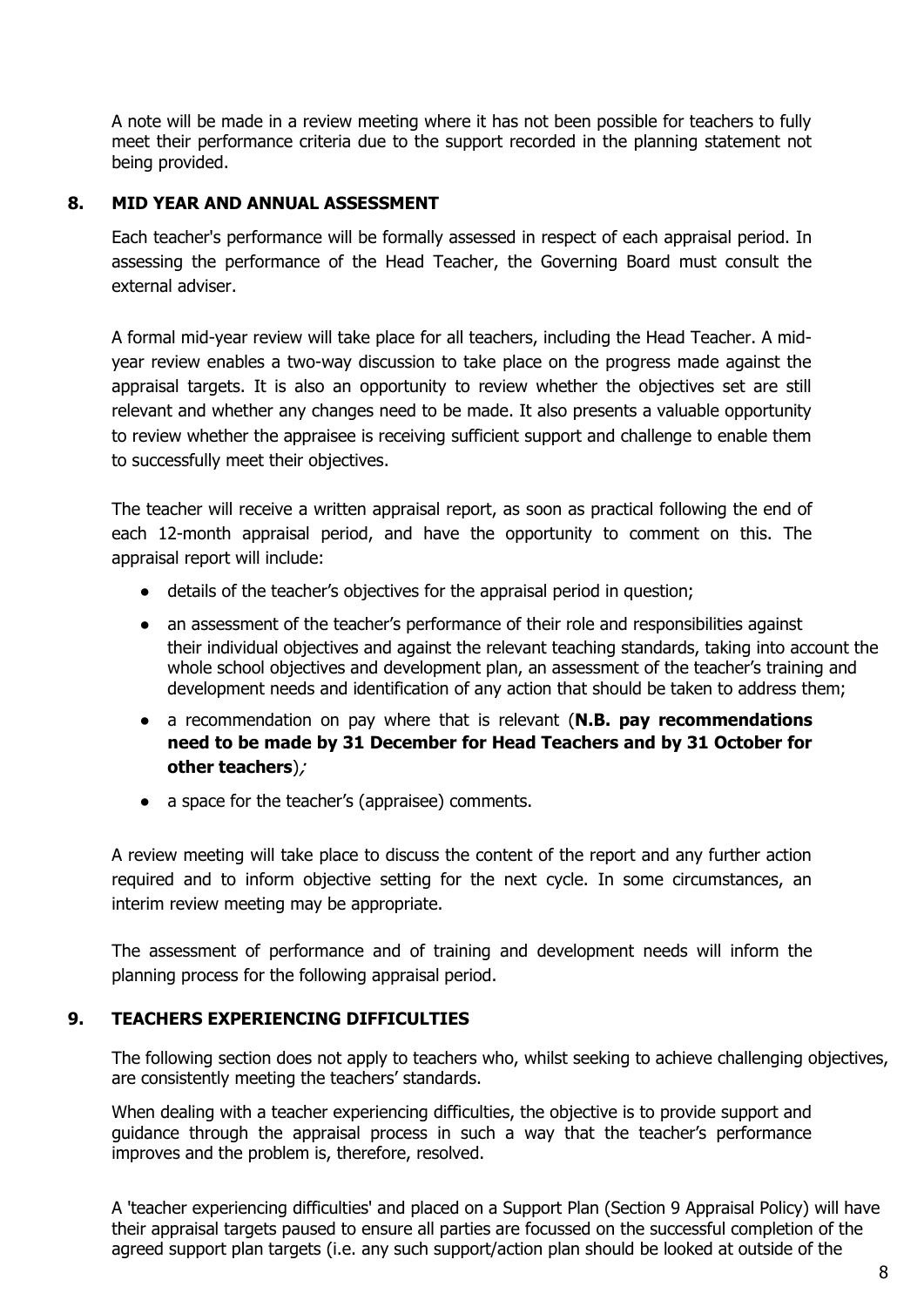A note will be made in a review meeting where it has not been possible for teachers to fully meet their performance criteria due to the support recorded in the planning statement not being provided.

#### <span id="page-7-0"></span>**8. MID YEAR AND ANNUAL ASSESSMENT**

Each teacher's performance will be formally assessed in respect of each appraisal period. In assessing the performance of the Head Teacher, the Governing Board must consult the external adviser.

A formal mid-year review will take place for all teachers, including the Head Teacher. A midyear review enables a two-way discussion to take place on the progress made against the appraisal targets. It is also an opportunity to review whether the objectives set are still relevant and whether any changes need to be made. It also presents a valuable opportunity to review whether the appraisee is receiving sufficient support and challenge to enable them to successfully meet their objectives.

The teacher will receive a written appraisal report, as soon as practical following the end of each 12-month appraisal period, and have the opportunity to comment on this. The appraisal report will include:

- details of the teacher's objectives for the appraisal period in question;
- an assessment of the teacher's performance of their role and responsibilities against their individual objectives and against the relevant teaching standards, taking into account the whole school objectives and development plan, an assessment of the teacher's training and development needs and identification of any action that should be taken to address them;
- a recommendation on pay where that is relevant (**N.B. pay recommendations need to be made by 31 December for Head Teachers and by 31 October for other teachers**);
- a space for the teacher's (appraisee) comments.

A review meeting will take place to discuss the content of the report and any further action required and to inform objective setting for the next cycle. In some circumstances, an interim review meeting may be appropriate.

The assessment of performance and of training and development needs will inform the planning process for the following appraisal period.

#### <span id="page-7-1"></span>**9. TEACHERS EXPERIENCING DIFFICULTIES**

The following section does not apply to teachers who, whilst seeking to achieve challenging objectives, are consistently meeting the teachers' standards.

When dealing with a teacher experiencing difficulties, the objective is to provide support and guidance through the appraisal process in such a way that the teacher's performance improves and the problem is, therefore, resolved.

A 'teacher experiencing difficulties' and placed on a Support Plan (Section 9 Appraisal Policy) will have their appraisal targets paused to ensure all parties are focussed on the successful completion of the agreed support plan targets (i.e. any such support/action plan should be looked at outside of the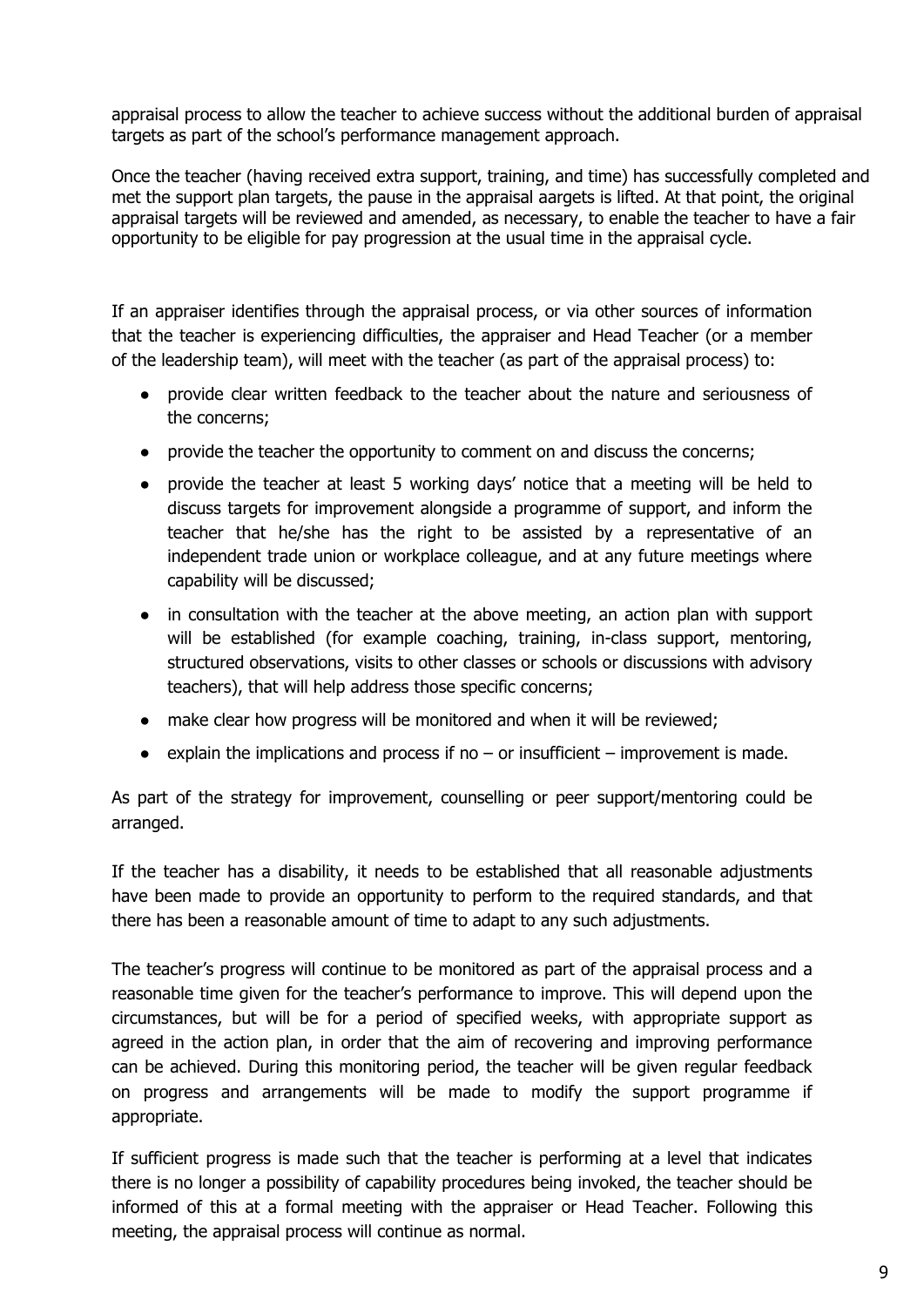appraisal process to allow the teacher to achieve success without the additional burden of appraisal targets as part of the school's performance management approach.

Once the teacher (having received extra support, training, and time) has successfully completed and met the support plan targets, the pause in the appraisal aargets is lifted. At that point, the original appraisal targets will be reviewed and amended, as necessary, to enable the teacher to have a fair opportunity to be eligible for pay progression at the usual time in the appraisal cycle.

If an appraiser identifies through the appraisal process, or via other sources of information that the teacher is experiencing difficulties, the appraiser and Head Teacher (or a member of the leadership team), will meet with the teacher (as part of the appraisal process) to:

- provide clear written feedback to the teacher about the nature and seriousness of the concerns;
- provide the teacher the opportunity to comment on and discuss the concerns;
- provide the teacher at least 5 working days' notice that a meeting will be held to discuss targets for improvement alongside a programme of support, and inform the teacher that he/she has the right to be assisted by a representative of an independent trade union or workplace colleague, and at any future meetings where capability will be discussed;
- in consultation with the teacher at the above meeting, an action plan with support will be established (for example coaching, training, in-class support, mentoring, structured observations, visits to other classes or schools or discussions with advisory teachers), that will help address those specific concerns;
- make clear how progress will be monitored and when it will be reviewed;
- $\bullet$  explain the implications and process if no or insufficient improvement is made.

As part of the strategy for improvement, counselling or peer support/mentoring could be arranged.

If the teacher has a disability, it needs to be established that all reasonable adjustments have been made to provide an opportunity to perform to the required standards, and that there has been a reasonable amount of time to adapt to any such adjustments.

The teacher's progress will continue to be monitored as part of the appraisal process and a reasonable time given for the teacher's performance to improve. This will depend upon the circumstances, but will be for a period of specified weeks, with appropriate support as agreed in the action plan, in order that the aim of recovering and improving performance can be achieved. During this monitoring period, the teacher will be given regular feedback on progress and arrangements will be made to modify the support programme if appropriate.

If sufficient progress is made such that the teacher is performing at a level that indicates there is no longer a possibility of capability procedures being invoked, the teacher should be informed of this at a formal meeting with the appraiser or Head Teacher. Following this meeting, the appraisal process will continue as normal.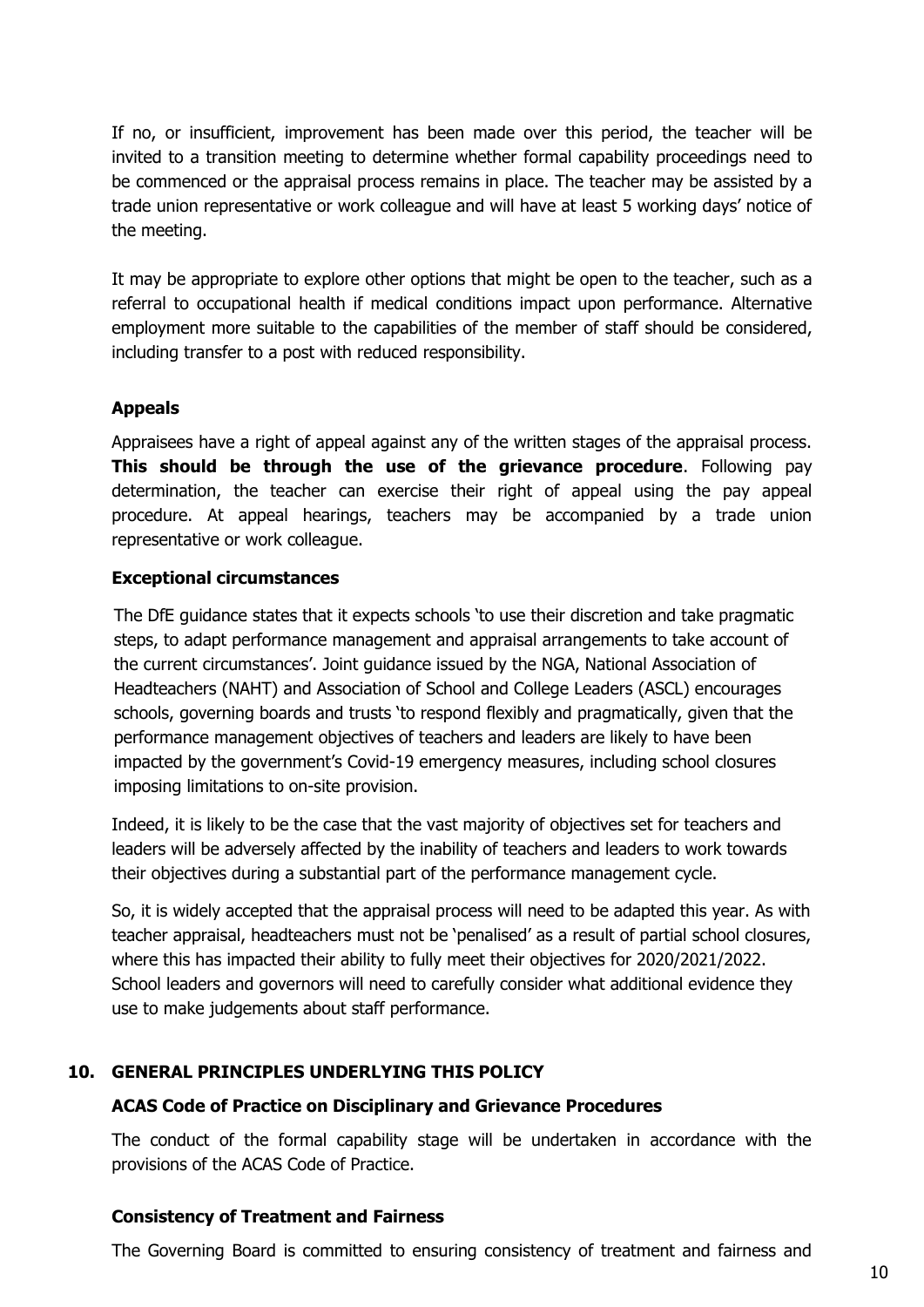If no, or insufficient, improvement has been made over this period, the teacher will be invited to a transition meeting to determine whether formal capability proceedings need to be commenced or the appraisal process remains in place. The teacher may be assisted by a trade union representative or work colleague and will have at least 5 working days' notice of the meeting.

It may be appropriate to explore other options that might be open to the teacher, such as a referral to occupational health if medical conditions impact upon performance. Alternative employment more suitable to the capabilities of the member of staff should be considered, including transfer to a post with reduced responsibility.

#### **Appeals**

Appraisees have a right of appeal against any of the written stages of the appraisal process. **This should be through the use of the grievance procedure**. Following pay determination, the teacher can exercise their right of appeal using the pay appeal procedure. At appeal hearings, teachers may be accompanied by a trade union representative or work colleague.

#### **Exceptional circumstances**

The DfE guidance states that it expects schools 'to use their discretion and take pragmatic steps, to adapt performance management and appraisal arrangements to take account of the current circumstances'. Joint guidance issued by the NGA, National Association of Headteachers (NAHT) and Association of School and College Leaders (ASCL) encourages schools, governing boards and trusts 'to respond flexibly and pragmatically, given that the performance management objectives of teachers and leaders are likely to have been impacted by the government's Covid-19 emergency measures, including school closures imposing limitations to on-site provision.

Indeed, it is likely to be the case that the vast majority of objectives set for teachers and leaders will be adversely affected by the inability of teachers and leaders to work towards their objectives during a substantial part of the performance management cycle.

<span id="page-9-0"></span>So, it is widely accepted that the appraisal process will need to be adapted this year. As with teacher appraisal, headteachers must not be 'penalised' as a result of partial school closures, where this has impacted their ability to fully meet their objectives for 2020/2021/2022. School leaders and governors will need to carefully consider what additional evidence they use to make judgements about staff performance.

## <span id="page-9-1"></span>**10. GENERAL PRINCIPLES UNDERLYING THIS POLICY**

#### **ACAS Code of Practice on Disciplinary and Grievance Procedures**

The conduct of the formal capability stage will be undertaken in accordance with the provisions of the ACAS Code of Practice.

#### <span id="page-9-2"></span>**Consistency of Treatment and Fairness**

The Governing Board is committed to ensuring consistency of treatment and fairness and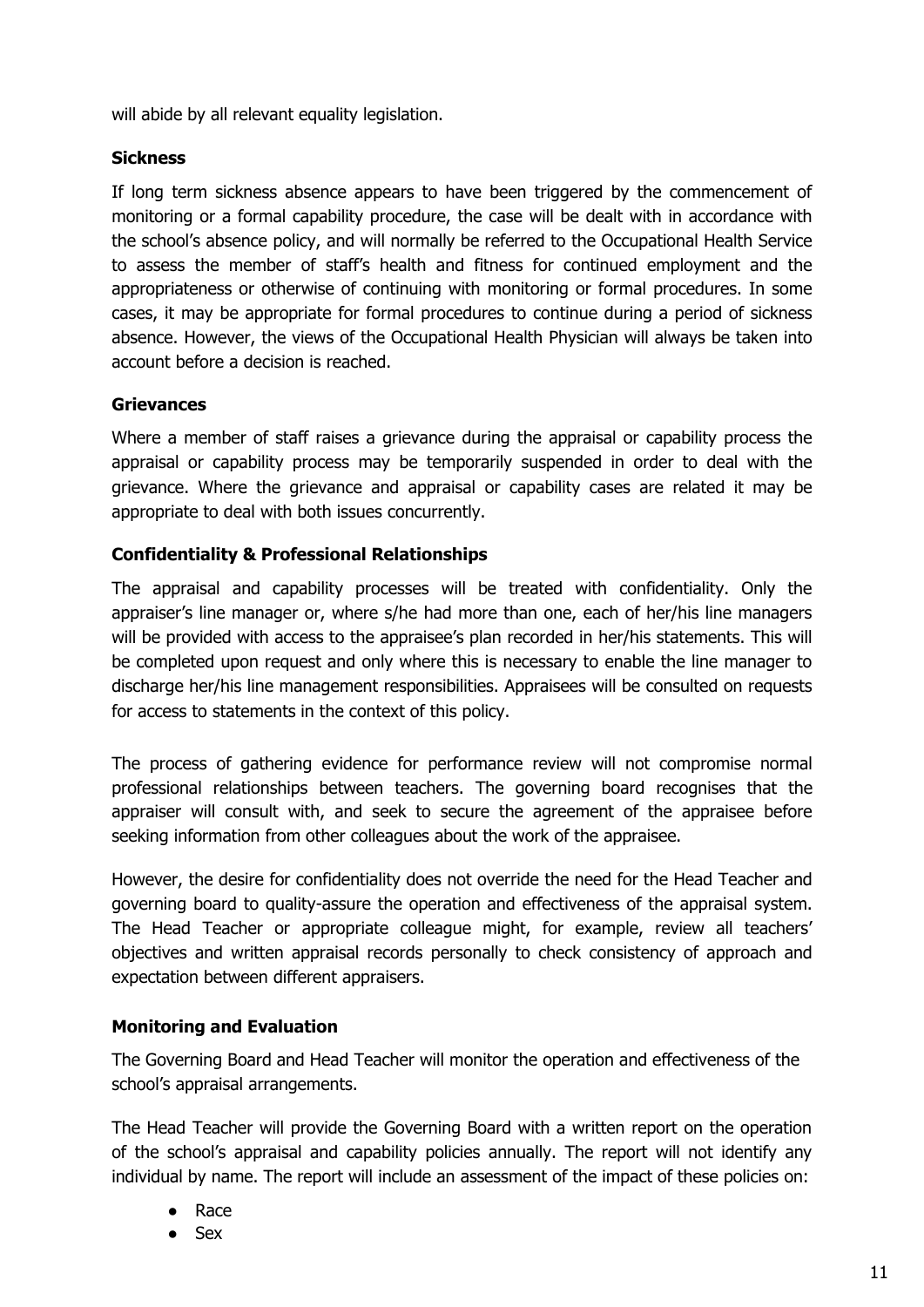will abide by all relevant equality legislation.

#### <span id="page-10-0"></span>**Sickness**

If long term sickness absence appears to have been triggered by the commencement of monitoring or a formal capability procedure, the case will be dealt with in accordance with the school's absence policy, and will normally be referred to the Occupational Health Service to assess the member of staff's health and fitness for continued employment and the appropriateness or otherwise of continuing with monitoring or formal procedures. In some cases, it may be appropriate for formal procedures to continue during a period of sickness absence. However, the views of the Occupational Health Physician will always be taken into account before a decision is reached.

#### <span id="page-10-1"></span>**Grievances**

Where a member of staff raises a grievance during the appraisal or capability process the appraisal or capability process may be temporarily suspended in order to deal with the grievance. Where the grievance and appraisal or capability cases are related it may be appropriate to deal with both issues concurrently.

#### **Confidentiality & Professional Relationships**

The appraisal and capability processes will be treated with confidentiality. Only the appraiser's line manager or, where s/he had more than one, each of her/his line managers will be provided with access to the appraisee's plan recorded in her/his statements. This will be completed upon request and only where this is necessary to enable the line manager to discharge her/his line management responsibilities. Appraisees will be consulted on requests for access to statements in the context of this policy.

The process of gathering evidence for performance review will not compromise normal professional relationships between teachers. The governing board recognises that the appraiser will consult with, and seek to secure the agreement of the appraisee before seeking information from other colleagues about the work of the appraisee.

However, the desire for confidentiality does not override the need for the Head Teacher and governing board to quality-assure the operation and effectiveness of the appraisal system. The Head Teacher or appropriate colleague might, for example, review all teachers' objectives and written appraisal records personally to check consistency of approach and expectation between different appraisers.

#### <span id="page-10-2"></span>**Monitoring and Evaluation**

The Governing Board and Head Teacher will monitor the operation and effectiveness of the school's appraisal arrangements.

The Head Teacher will provide the Governing Board with a written report on the operation of the school's appraisal and capability policies annually. The report will not identify any individual by name. The report will include an assessment of the impact of these policies on:

- Race
- **Sex**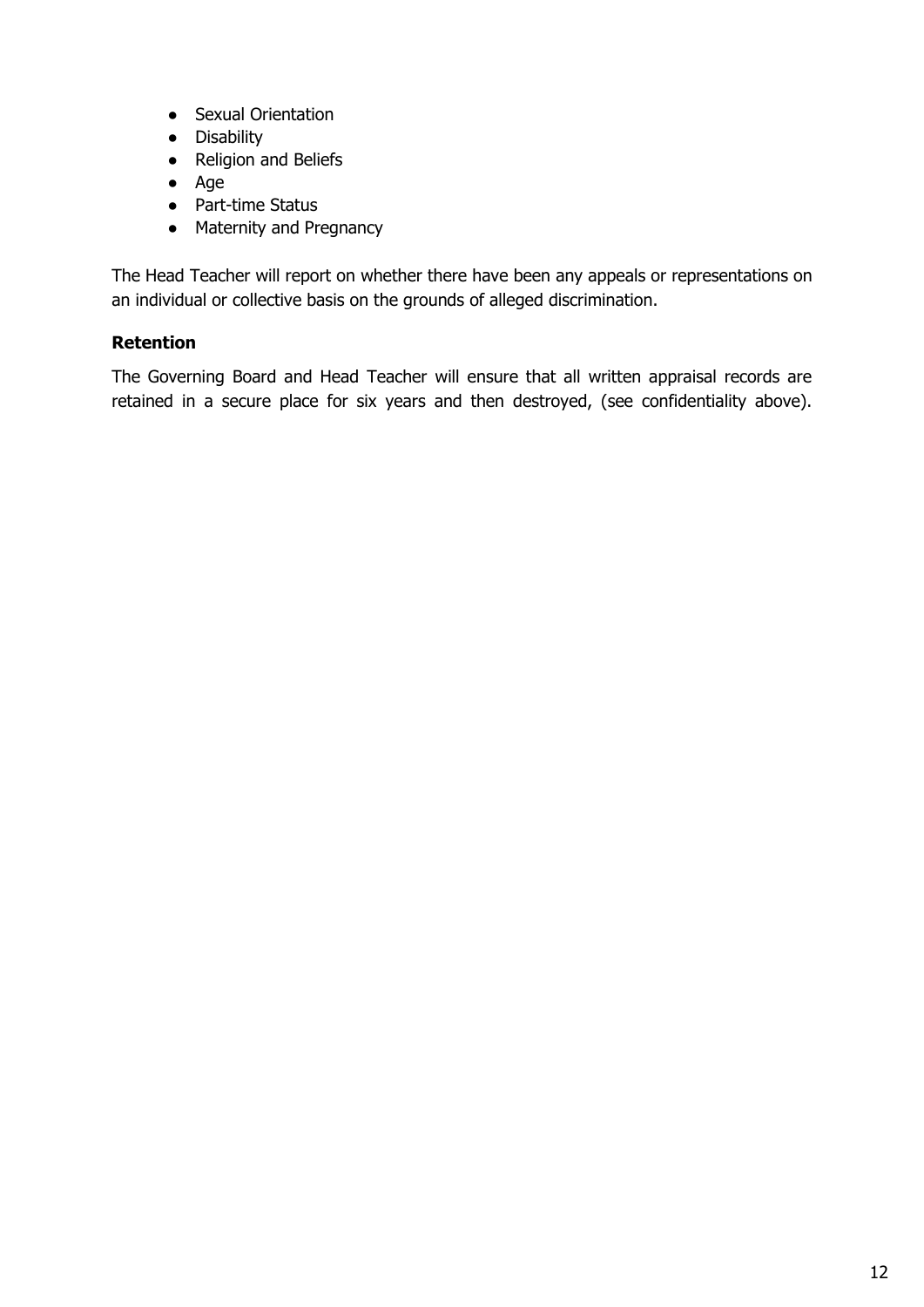- Sexual Orientation
- Disability
- Religion and Beliefs
- Age
- Part-time Status
- Maternity and Pregnancy

The Head Teacher will report on whether there have been any appeals or representations on an individual or collective basis on the grounds of alleged discrimination.

## <span id="page-11-0"></span>**Retention**

The Governing Board and Head Teacher will ensure that all written appraisal records are retained in a secure place for six years and then destroyed, (see confidentiality above).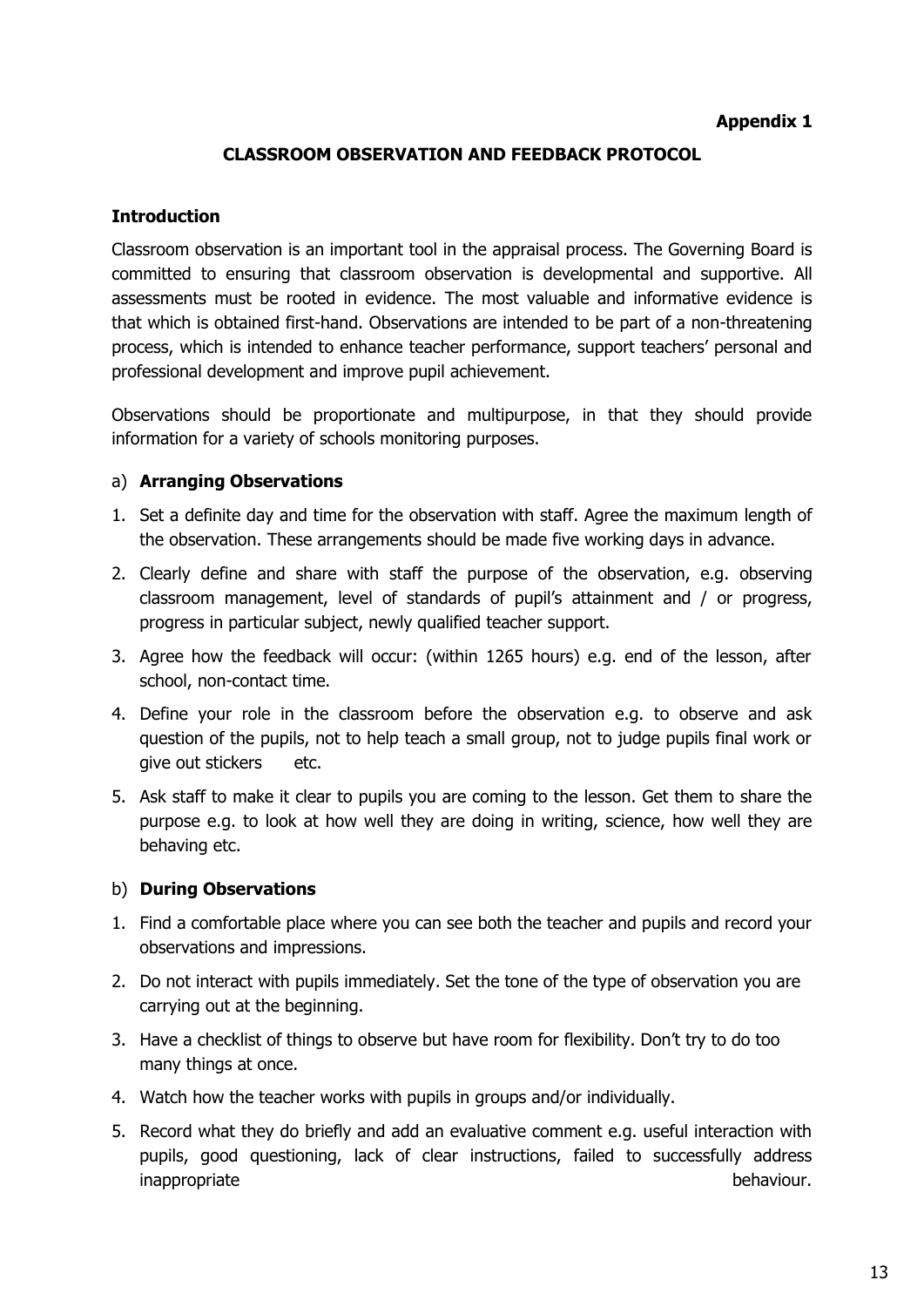#### **Appendix 1**

#### **CLASSROOM OBSERVATION AND FEEDBACK PROTOCOL**

#### <span id="page-12-0"></span>**Introduction**

Classroom observation is an important tool in the appraisal process. The Governing Board is committed to ensuring that classroom observation is developmental and supportive. All assessments must be rooted in evidence. The most valuable and informative evidence is that which is obtained first-hand. Observations are intended to be part of a non-threatening process, which is intended to enhance teacher performance, support teachers' personal and professional development and improve pupil achievement.

Observations should be proportionate and multipurpose, in that they should provide information for a variety of schools monitoring purposes.

#### a) **Arranging Observations**

- 1. Set a definite day and time for the observation with staff. Agree the maximum length of the observation. These arrangements should be made five working days in advance.
- 2. Clearly define and share with staff the purpose of the observation, e.g. observing classroom management, level of standards of pupil's attainment and / or progress, progress in particular subject, newly qualified teacher support.
- 3. Agree how the feedback will occur: (within 1265 hours) e.g. end of the lesson, after school, non-contact time.
- 4. Define your role in the classroom before the observation e.g. to observe and ask question of the pupils, not to help teach a small group, not to judge pupils final work or give out stickers etc.
- 5. Ask staff to make it clear to pupils you are coming to the lesson. Get them to share the purpose e.g. to look at how well they are doing in writing, science, how well they are behaving etc.

#### b) **During Observations**

- 1. Find a comfortable place where you can see both the teacher and pupils and record your observations and impressions.
- 2. Do not interact with pupils immediately. Set the tone of the type of observation you are carrying out at the beginning.
- 3. Have a checklist of things to observe but have room for flexibility. Don't try to do too many things at once.
- 4. Watch how the teacher works with pupils in groups and/or individually.
- 5. Record what they do briefly and add an evaluative comment e.g. useful interaction with pupils, good questioning, lack of clear instructions, failed to successfully address inappropriate behaviour. The extension of the extension of the behaviour.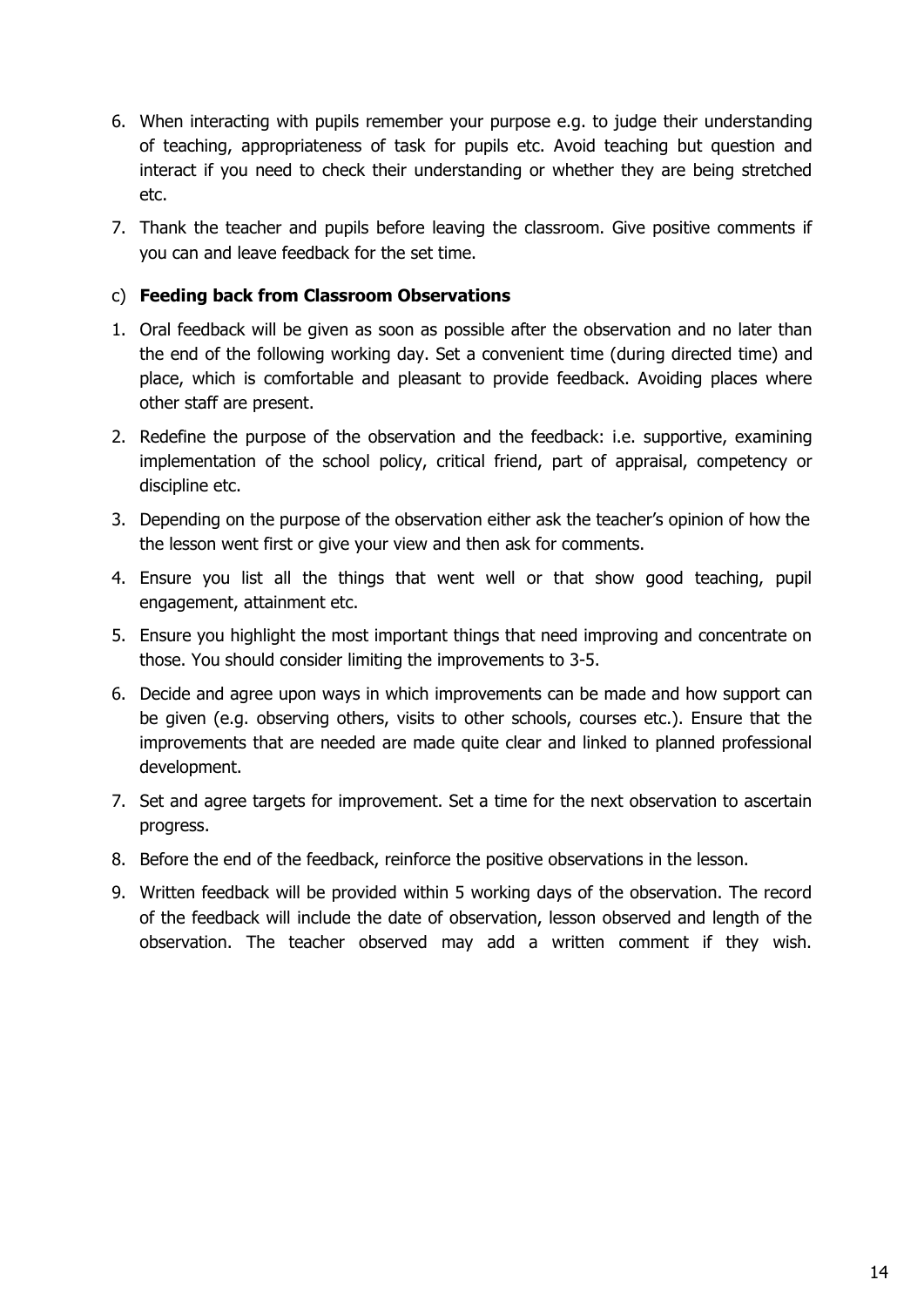- 6. When interacting with pupils remember your purpose e.g. to judge their understanding of teaching, appropriateness of task for pupils etc. Avoid teaching but question and interact if you need to check their understanding or whether they are being stretched etc.
- 7. Thank the teacher and pupils before leaving the classroom. Give positive comments if you can and leave feedback for the set time.

## c) **Feeding back from Classroom Observations**

- 1. Oral feedback will be given as soon as possible after the observation and no later than the end of the following working day. Set a convenient time (during directed time) and place, which is comfortable and pleasant to provide feedback. Avoiding places where other staff are present.
- 2. Redefine the purpose of the observation and the feedback: i.e. supportive, examining implementation of the school policy, critical friend, part of appraisal, competency or discipline etc.
- 3. Depending on the purpose of the observation either ask the teacher's opinion of how the the lesson went first or give your view and then ask for comments.
- 4. Ensure you list all the things that went well or that show good teaching, pupil engagement, attainment etc.
- 5. Ensure you highlight the most important things that need improving and concentrate on those. You should consider limiting the improvements to 3-5.
- 6. Decide and agree upon ways in which improvements can be made and how support can be given (e.g. observing others, visits to other schools, courses etc.). Ensure that the improvements that are needed are made quite clear and linked to planned professional development.
- 7. Set and agree targets for improvement. Set a time for the next observation to ascertain progress.
- 8. Before the end of the feedback, reinforce the positive observations in the lesson.
- 9. Written feedback will be provided within 5 working days of the observation. The record of the feedback will include the date of observation, lesson observed and length of the observation. The teacher observed may add a written comment if they wish.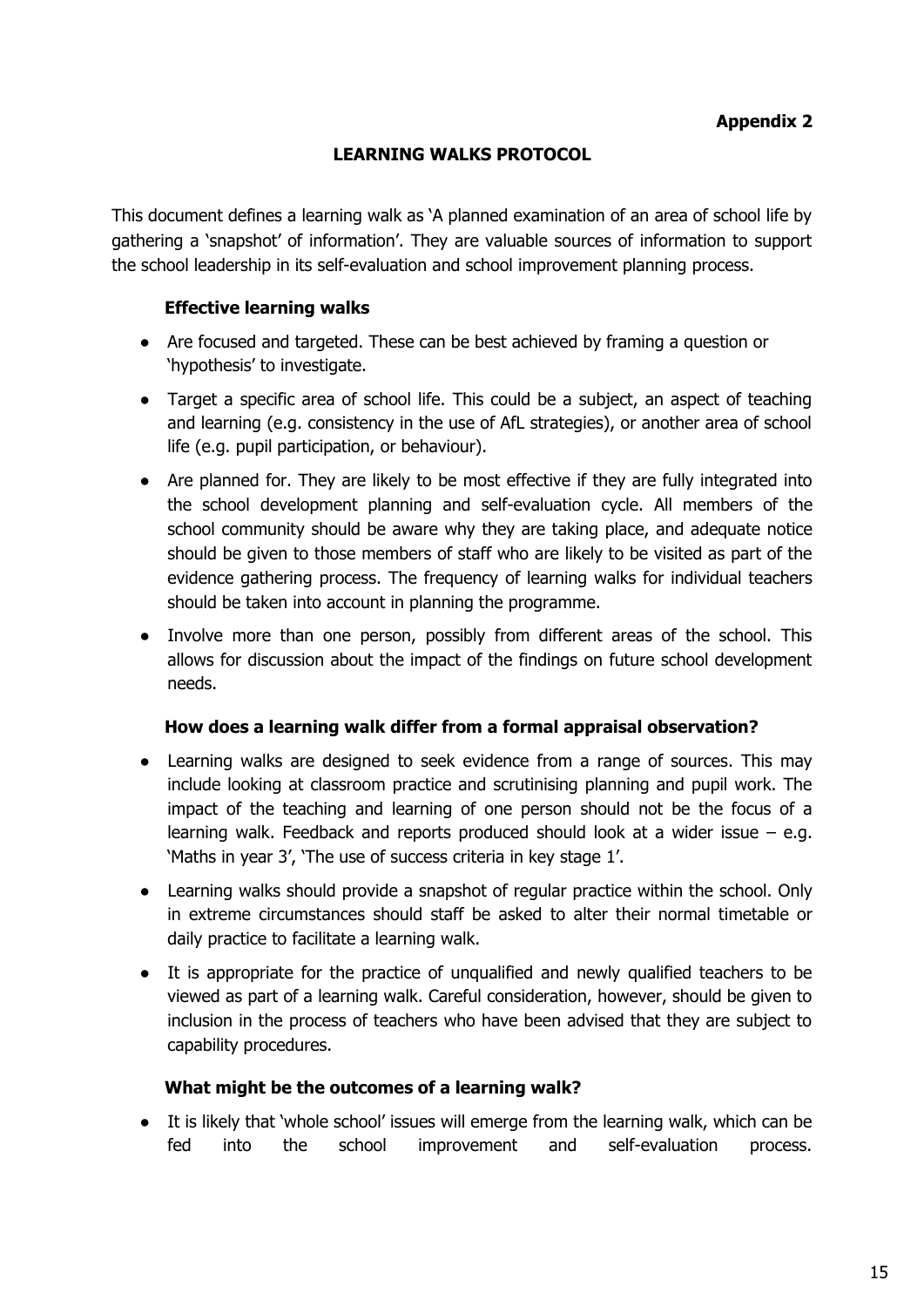## **LEARNING WALKS PROTOCOL**

<span id="page-14-0"></span>This document defines a learning walk as 'A planned examination of an area of school life by gathering a 'snapshot' of information'. They are valuable sources of information to support the school leadership in its self-evaluation and school improvement planning process.

## **Effective learning walks**

- Are focused and targeted. These can be best achieved by framing a question or 'hypothesis' to investigate.
- Target a specific area of school life. This could be a subject, an aspect of teaching and learning (e.g. consistency in the use of AfL strategies), or another area of school life (e.g. pupil participation, or behaviour).
- Are planned for. They are likely to be most effective if they are fully integrated into the school development planning and self-evaluation cycle. All members of the school community should be aware why they are taking place, and adequate notice should be given to those members of staff who are likely to be visited as part of the evidence gathering process. The frequency of learning walks for individual teachers should be taken into account in planning the programme.
- Involve more than one person, possibly from different areas of the school. This allows for discussion about the impact of the findings on future school development needs.

#### **How does a learning walk differ from a formal appraisal observation?**

- Learning walks are designed to seek evidence from a range of sources. This may include looking at classroom practice and scrutinising planning and pupil work. The impact of the teaching and learning of one person should not be the focus of a learning walk. Feedback and reports produced should look at a wider issue – e.g. 'Maths in year 3', 'The use of success criteria in key stage 1'.
- Learning walks should provide a snapshot of regular practice within the school. Only in extreme circumstances should staff be asked to alter their normal timetable or daily practice to facilitate a learning walk.
- It is appropriate for the practice of unqualified and newly qualified teachers to be viewed as part of a learning walk. Careful consideration, however, should be given to inclusion in the process of teachers who have been advised that they are subject to capability procedures.

#### **What might be the outcomes of a learning walk?**

● It is likely that 'whole school' issues will emerge from the learning walk, which can be fed into the school improvement and self-evaluation process.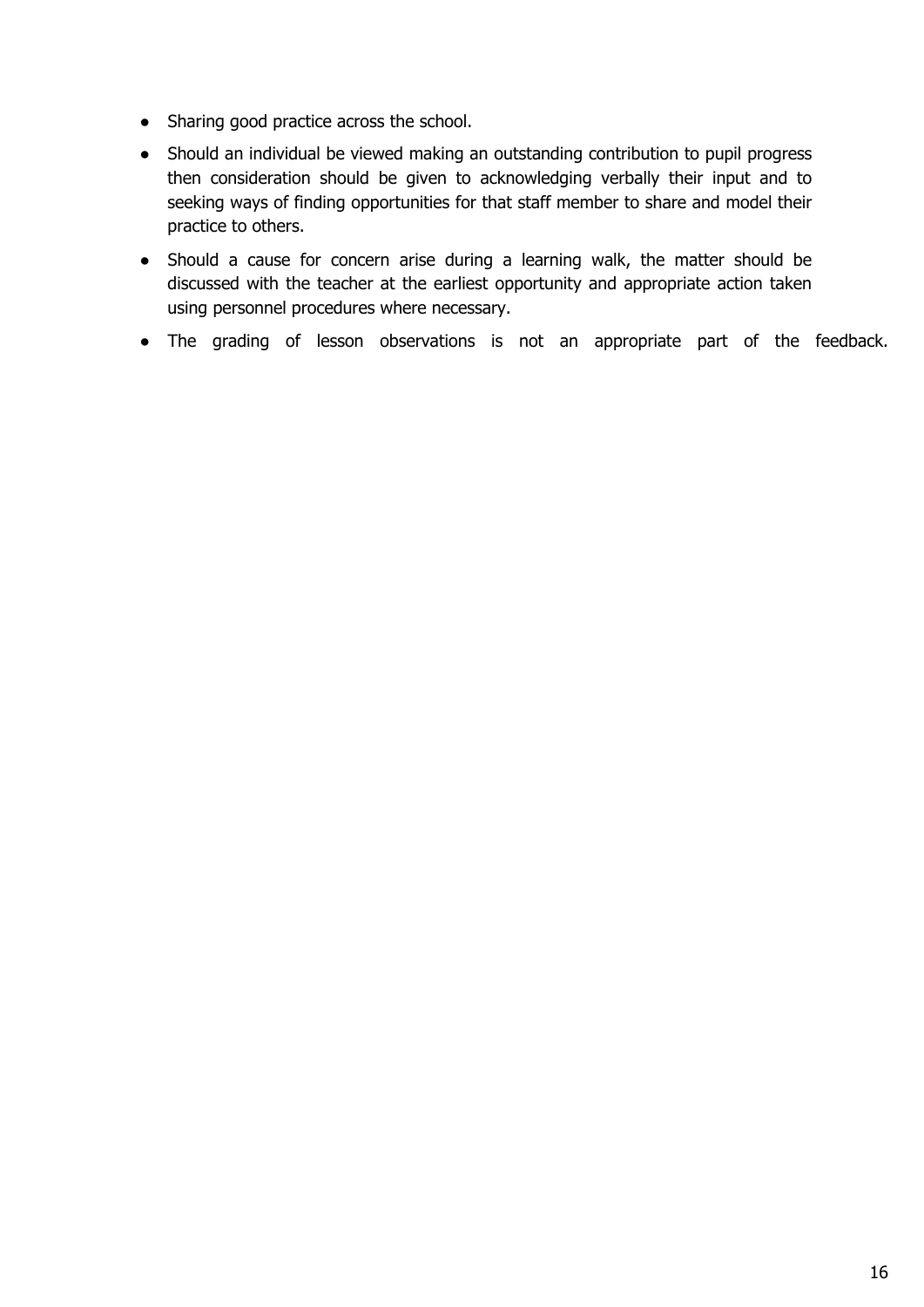- Sharing good practice across the school.
- Should an individual be viewed making an outstanding contribution to pupil progress then consideration should be given to acknowledging verbally their input and to seeking ways of finding opportunities for that staff member to share and model their practice to others.
- Should a cause for concern arise during a learning walk, the matter should be discussed with the teacher at the earliest opportunity and appropriate action taken using personnel procedures where necessary.
- The grading of lesson observations is not an appropriate part of the feedback.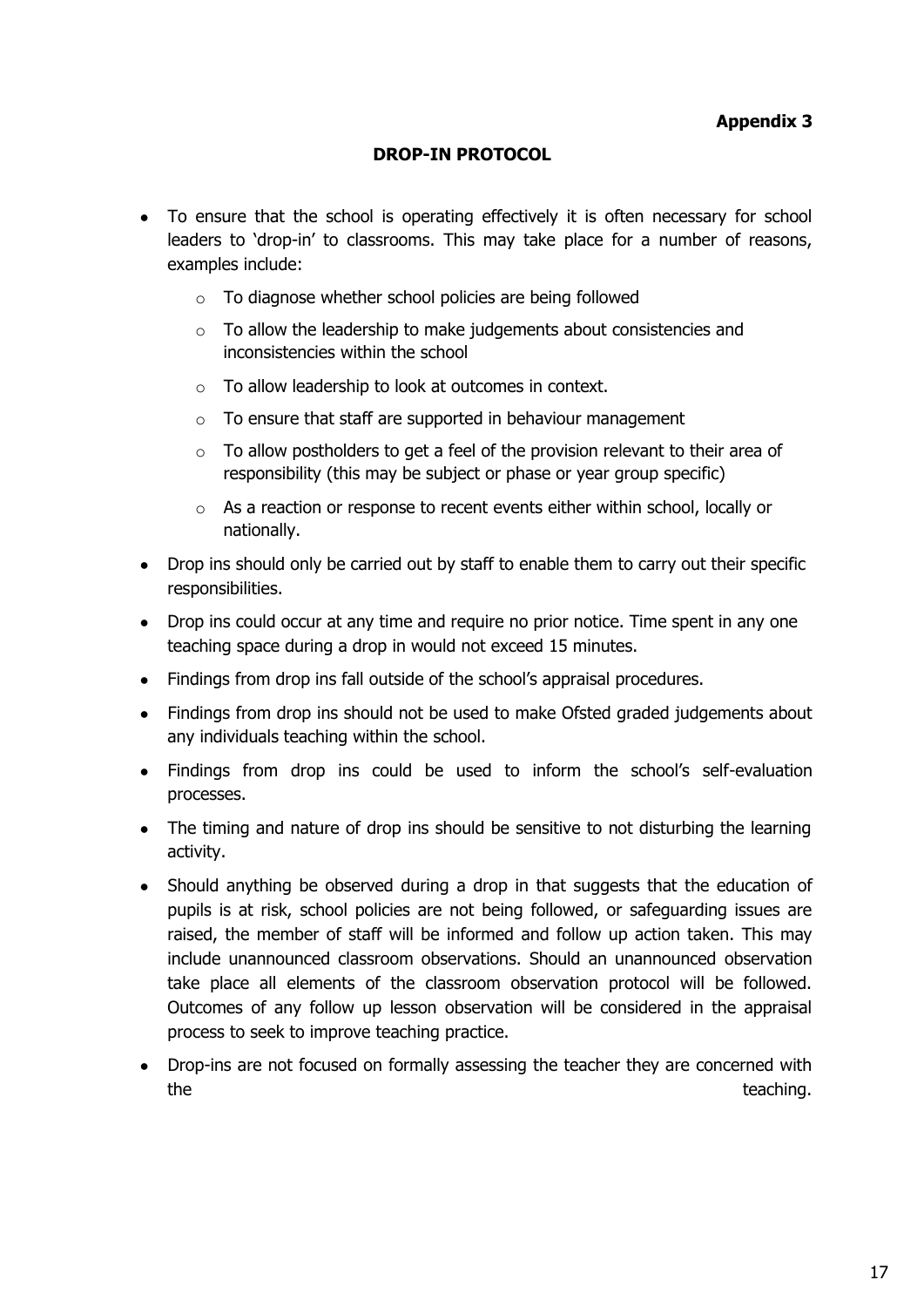#### **DROP-IN PROTOCOL**

- <span id="page-16-0"></span>• To ensure that the school is operating effectively it is often necessary for school leaders to 'drop-in' to classrooms. This may take place for a number of reasons, examples include:
	- o To diagnose whether school policies are being followed
	- $\circ$  To allow the leadership to make judgements about consistencies and inconsistencies within the school
	- o To allow leadership to look at outcomes in context.
	- o To ensure that staff are supported in behaviour management
	- o To allow postholders to get a feel of the provision relevant to their area of responsibility (this may be subject or phase or year group specific)
	- o As a reaction or response to recent events either within school, locally or nationally.
- Drop ins should only be carried out by staff to enable them to carry out their specific responsibilities.
- Drop ins could occur at any time and require no prior notice. Time spent in any one teaching space during a drop in would not exceed 15 minutes.
- Findings from drop ins fall outside of the school's appraisal procedures.
- Findings from drop ins should not be used to make Ofsted graded judgements about any individuals teaching within the school.
- Findings from drop ins could be used to inform the school's self-evaluation processes.
- The timing and nature of drop ins should be sensitive to not disturbing the learning activity.
- Should anything be observed during a drop in that suggests that the education of pupils is at risk, school policies are not being followed, or safeguarding issues are raised, the member of staff will be informed and follow up action taken. This may include unannounced classroom observations. Should an unannounced observation take place all elements of the classroom observation protocol will be followed. Outcomes of any follow up lesson observation will be considered in the appraisal process to seek to improve teaching practice.
- Drop-ins are not focused on formally assessing the teacher they are concerned with the the teaching.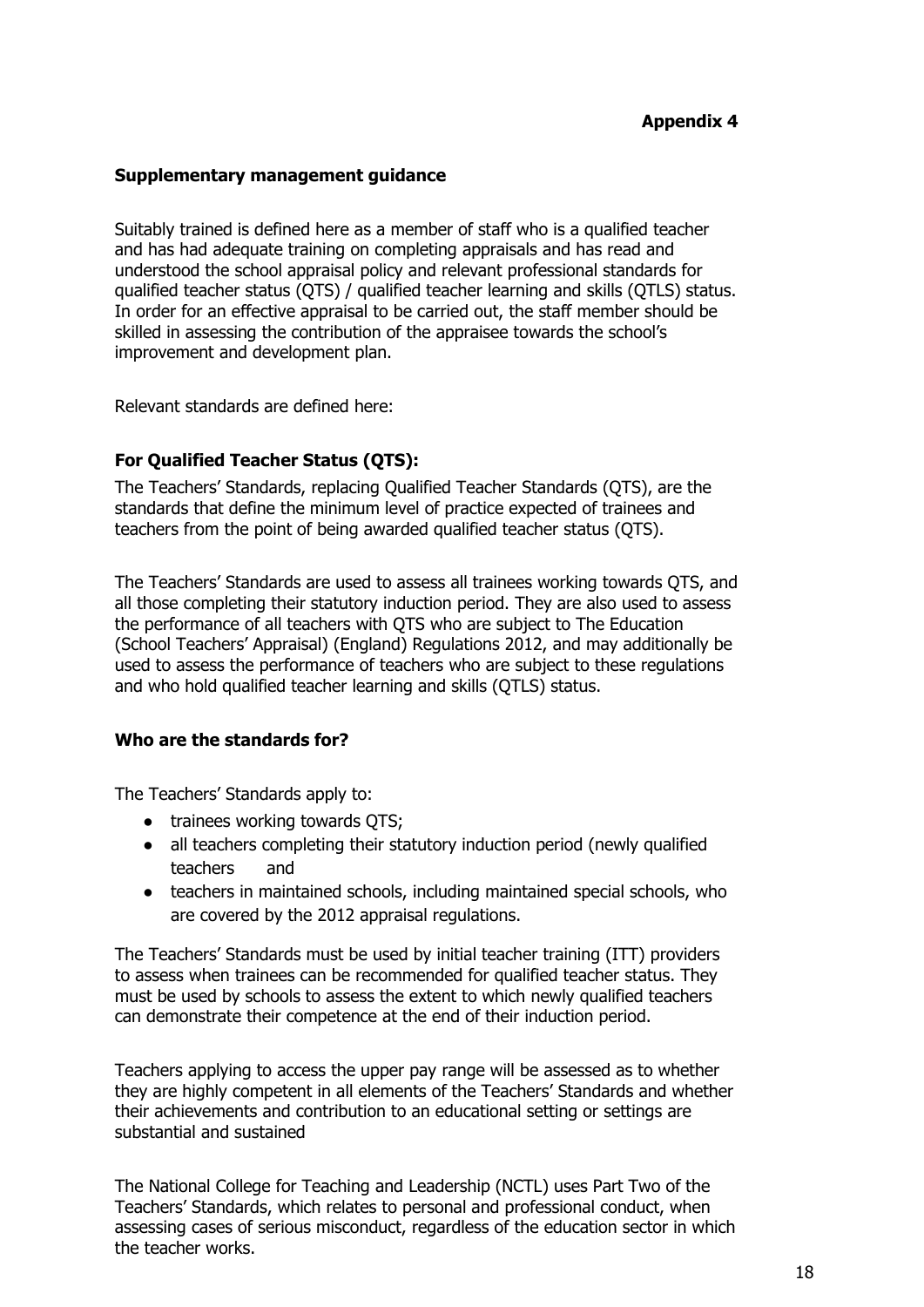## **Appendix 4**

#### **Supplementary management guidance**

Suitably trained is defined here as a member of staff who is a qualified teacher and has had adequate training on completing appraisals and has read and understood the school appraisal policy and relevant professional standards for qualified teacher status (QTS) / qualified teacher learning and skills (QTLS) status. In order for an effective appraisal to be carried out, the staff member should be skilled in assessing the contribution of the appraisee towards the school's improvement and development plan.

Relevant standards are defined here:

#### **For Qualified Teacher Status (QTS):**

The Teachers' Standards, replacing Qualified Teacher Standards (QTS), are the standards that define the minimum level of practice expected of trainees and teachers from the point of being awarded qualified teacher status (QTS).

The Teachers' Standards are used to assess all trainees working towards QTS, and all those completing their statutory induction period. They are also used to assess the performance of all teachers with QTS who are subject to The Education (School Teachers' Appraisal) (England) Regulations 2012, and may additionally be used to assess the performance of teachers who are subject to these regulations and who hold qualified teacher learning and skills (QTLS) status.

#### **Who are the standards for?**

The Teachers' Standards apply to:

- trainees working towards QTS;
- all teachers completing their statutory induction period (newly qualified teachers and
- teachers in maintained schools, including maintained special schools, who are covered by the 2012 appraisal regulations.

The Teachers' Standards must be used by initial teacher training (ITT) providers to assess when trainees can be recommended for qualified teacher status. They must be used by schools to assess the extent to which newly qualified teachers can demonstrate their competence at the end of their induction period.

Teachers applying to access the upper pay range will be assessed as to whether they are highly competent in all elements of the Teachers' Standards and whether their achievements and contribution to an educational setting or settings are substantial and sustained

The National College for Teaching and Leadership (NCTL) uses Part Two of the Teachers' Standards, which relates to personal and professional conduct, when assessing cases of serious misconduct, regardless of the education sector in which the teacher works.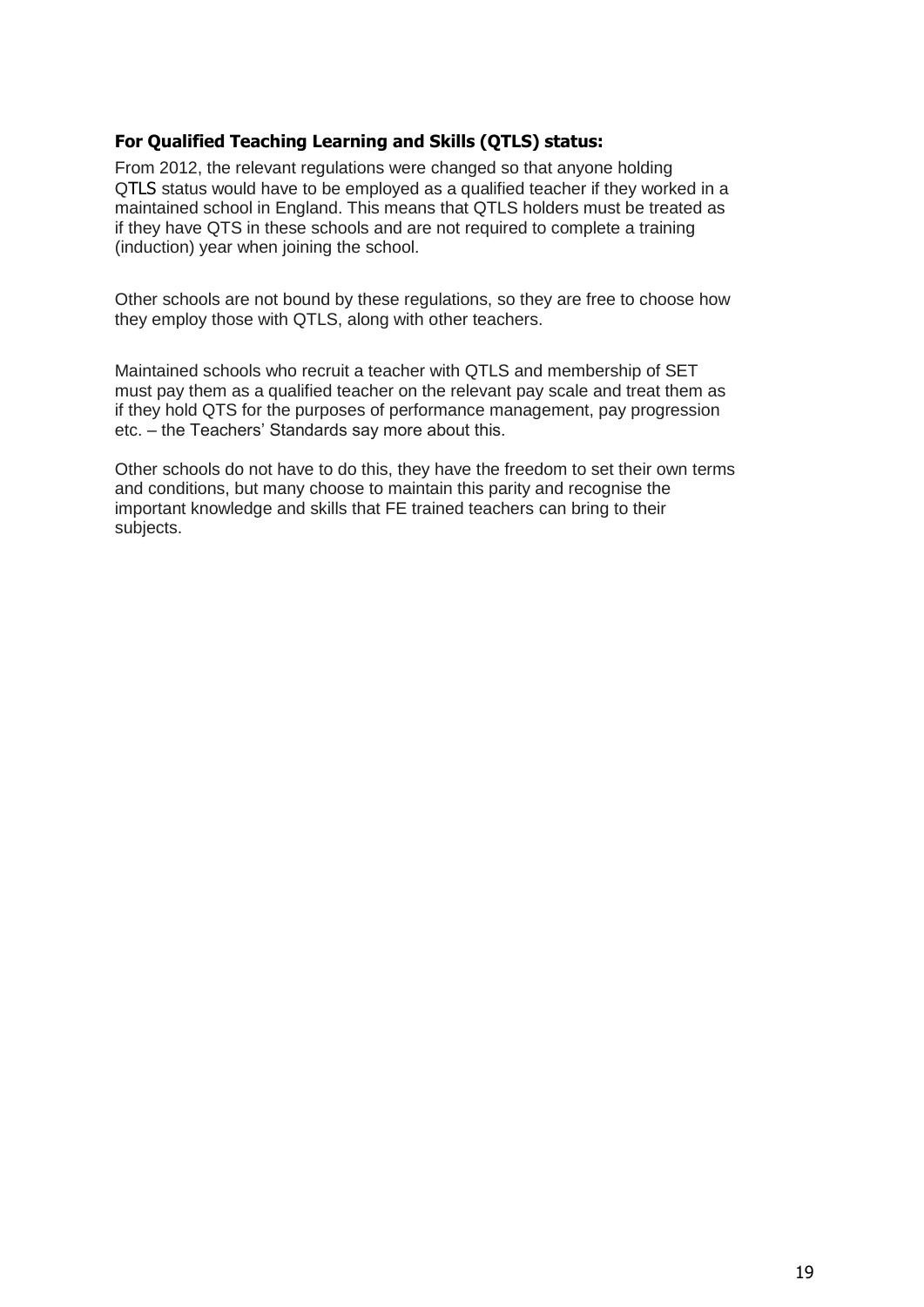#### **For Qualified Teaching Learning and Skills (QTLS) status:**

From 2012, the relevant regulations were changed so that anyone holding QTLS status would have to be employed as a qualified teacher if they worked in a maintained school in England. This means that QTLS holders must be treated as if they have QTS in these schools and are not required to complete a training (induction) year when joining the school.

Other schools are not bound by these regulations, so they are free to choose how they employ those with QTLS, along with other teachers.

Maintained schools who recruit a teacher with QTLS and membership of SET must pay them as a qualified teacher on the relevant pay scale and treat them as if they hold QTS for the purposes of performance management, pay progression etc. – the Teachers' Standards say more about this.

Other schools do not have to do this, they have the freedom to set their own terms and conditions, but many choose to maintain this parity and recognise the important knowledge and skills that FE trained teachers can bring to their subjects.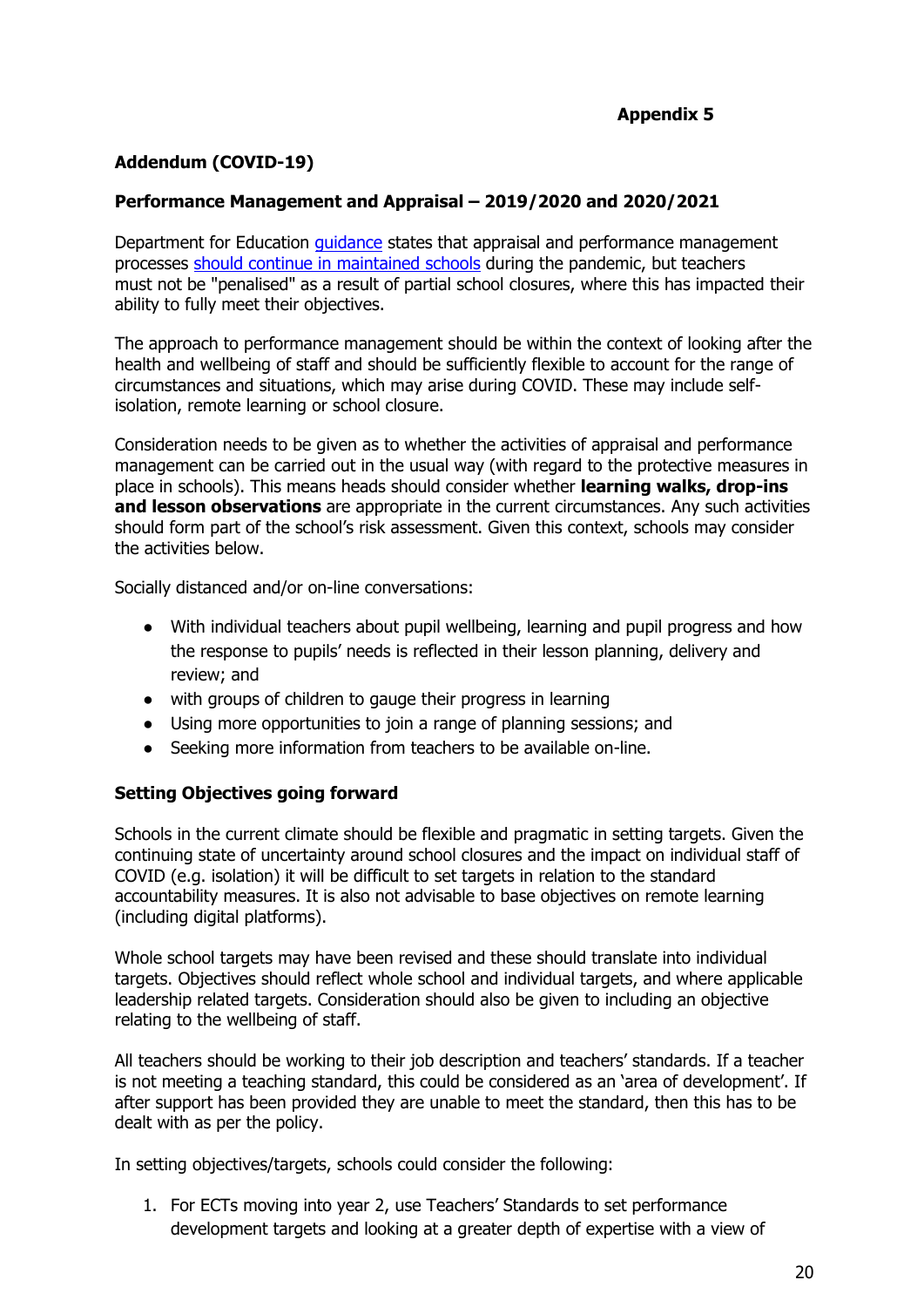## **Addendum (COVID-19)**

## **Performance Management and Appraisal – 2019/2020 and 2020/2021**

Department for Education [guidance](https://www.gov.uk/government/publications/covid-19-school-closures/guidance-for-schools-about-temporarily-closing) states that appraisal and performance management processes should [continue in maintained schools](https://www.tes.com/news/dfe-teacher-appraisals-must-continue-during-coronavirus-pandemic) during the pandemic, but teachers must not be "penalised" as a result of partial school closures, where this has impacted their ability to fully meet their objectives.

The approach to performance management should be within the context of looking after the health and wellbeing of staff and should be sufficiently flexible to account for the range of circumstances and situations, which may arise during COVID. These may include selfisolation, remote learning or school closure.

Consideration needs to be given as to whether the activities of appraisal and performance management can be carried out in the usual way (with regard to the protective measures in place in schools). This means heads should consider whether **learning walks, drop-ins and lesson observations** are appropriate in the current circumstances. Any such activities should form part of the school's risk assessment. Given this context, schools may consider the activities below.

Socially distanced and/or on-line conversations:

- With individual teachers about pupil wellbeing, learning and pupil progress and how the response to pupils' needs is reflected in their lesson planning, delivery and review; and
- with groups of children to gauge their progress in learning
- Using more opportunities to join a range of planning sessions; and
- Seeking more information from teachers to be available on-line.

#### **Setting Objectives going forward**

Schools in the current climate should be flexible and pragmatic in setting targets. Given the continuing state of uncertainty around school closures and the impact on individual staff of COVID (e.g. isolation) it will be difficult to set targets in relation to the standard accountability measures. It is also not advisable to base objectives on remote learning (including digital platforms).

Whole school targets may have been revised and these should translate into individual targets. Objectives should reflect whole school and individual targets, and where applicable leadership related targets. Consideration should also be given to including an objective relating to the wellbeing of staff.

All teachers should be working to their job description and teachers' standards. If a teacher is not meeting a teaching standard, this could be considered as an 'area of development'. If after support has been provided they are unable to meet the standard, then this has to be dealt with as per the policy.

In setting objectives/targets, schools could consider the following:

1. For ECTs moving into year 2, use Teachers' Standards to set performance development targets and looking at a greater depth of expertise with a view of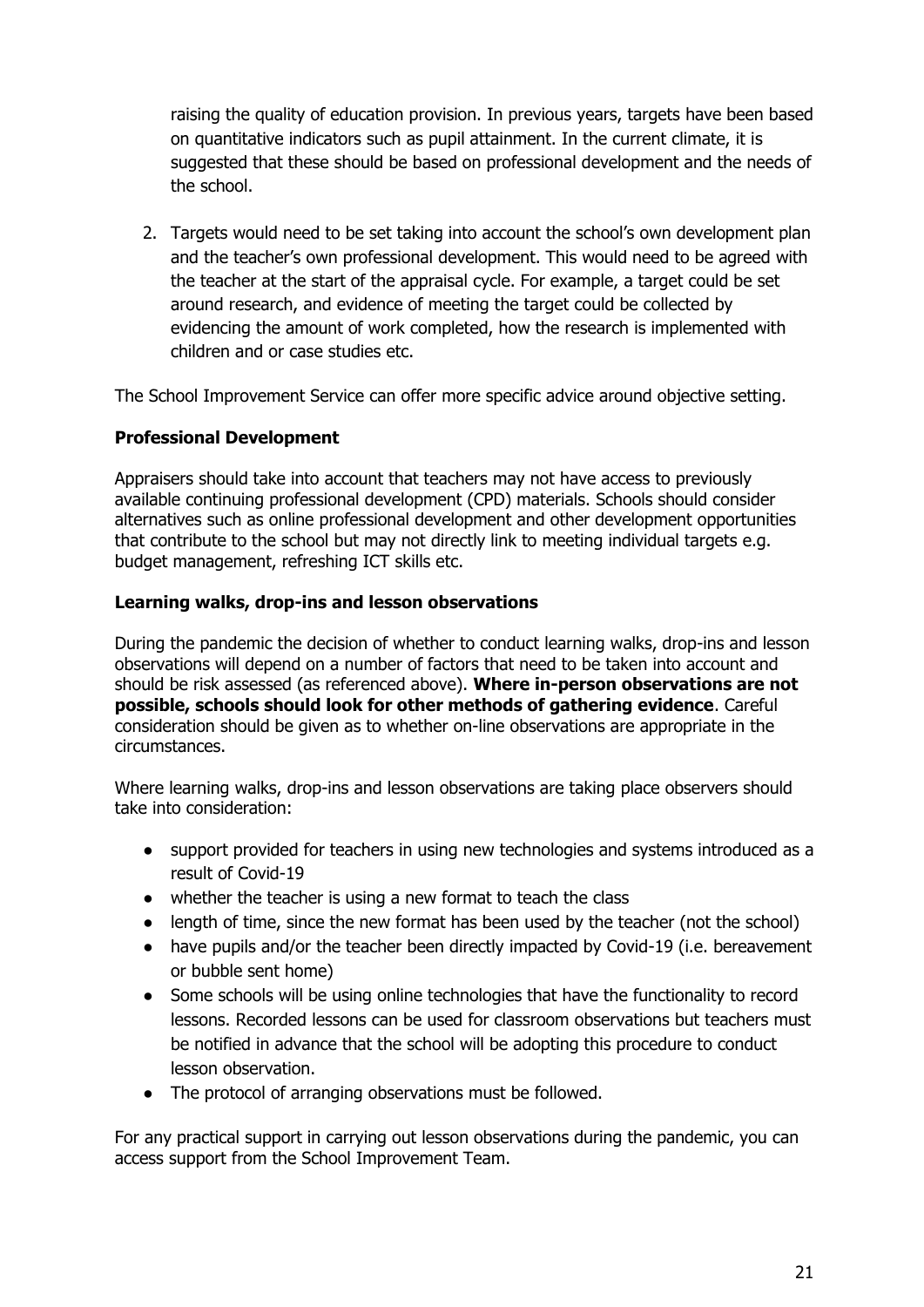raising the quality of education provision. In previous years, targets have been based on quantitative indicators such as pupil attainment. In the current climate, it is suggested that these should be based on professional development and the needs of the school.

2. Targets would need to be set taking into account the school's own development plan and the teacher's own professional development. This would need to be agreed with the teacher at the start of the appraisal cycle. For example, a target could be set around research, and evidence of meeting the target could be collected by evidencing the amount of work completed, how the research is implemented with children and or case studies etc.

The School Improvement Service can offer more specific advice around objective setting.

## **Professional Development**

Appraisers should take into account that teachers may not have access to previously available continuing professional development (CPD) materials. Schools should consider alternatives such as online professional development and other development opportunities that contribute to the school but may not directly link to meeting individual targets e.g. budget management, refreshing ICT skills etc.

## **Learning walks, drop-ins and lesson observations**

During the pandemic the decision of whether to conduct learning walks, drop-ins and lesson observations will depend on a number of factors that need to be taken into account and should be risk assessed (as referenced above). **Where in-person observations are not possible, schools should look for other methods of gathering evidence**. Careful consideration should be given as to whether on-line observations are appropriate in the circumstances.

Where learning walks, drop-ins and lesson observations are taking place observers should take into consideration:

- support provided for teachers in using new technologies and systems introduced as a result of Covid-19
- whether the teacher is using a new format to teach the class
- length of time, since the new format has been used by the teacher (not the school)
- have pupils and/or the teacher been directly impacted by Covid-19 (i.e. bereavement or bubble sent home)
- Some schools will be using online technologies that have the functionality to record lessons. Recorded lessons can be used for classroom observations but teachers must be notified in advance that the school will be adopting this procedure to conduct lesson observation.
- The protocol of arranging observations must be followed.

For any practical support in carrying out lesson observations during the pandemic, you can access support from the School Improvement Team.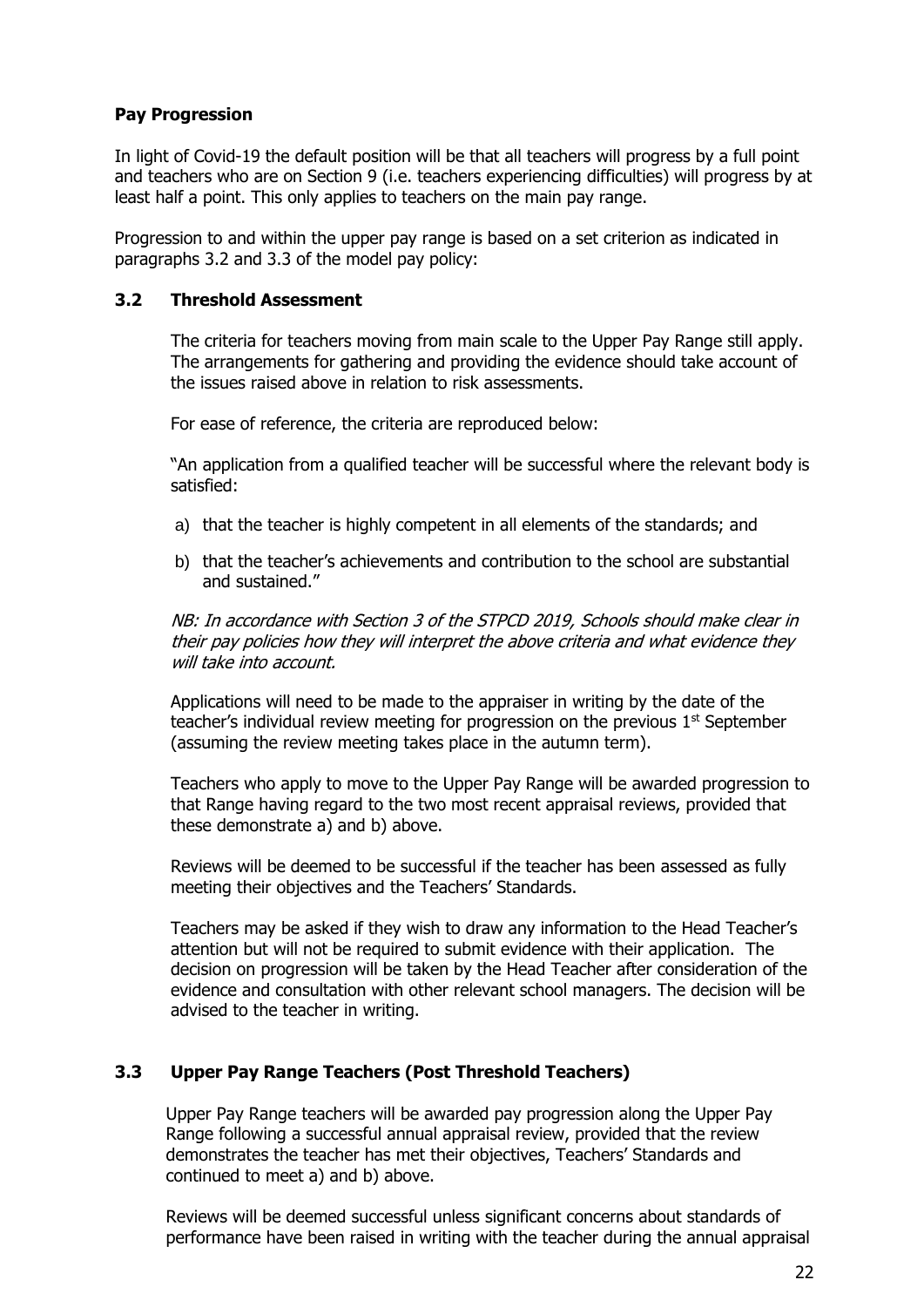#### **Pay Progression**

In light of Covid-19 the default position will be that all teachers will progress by a full point and teachers who are on Section 9 (i.e. teachers experiencing difficulties) will progress by at least half a point. This only applies to teachers on the main pay range.

Progression to and within the upper pay range is based on a set criterion as indicated in paragraphs 3.2 and 3.3 of the model pay policy:

#### **3.2 Threshold Assessment**

The criteria for teachers moving from main scale to the Upper Pay Range still apply. The arrangements for gathering and providing the evidence should take account of the issues raised above in relation to risk assessments.

For ease of reference, the criteria are reproduced below:

"An application from a qualified teacher will be successful where the relevant body is satisfied:

- a) that the teacher is highly competent in all elements of the standards; and
- b) that the teacher's achievements and contribution to the school are substantial and sustained."

NB: In accordance with Section 3 of the STPCD 2019, Schools should make clear in their pay policies how they will interpret the above criteria and what evidence they will take into account.

Applications will need to be made to the appraiser in writing by the date of the teacher's individual review meeting for progression on the previous  $1<sup>st</sup>$  September (assuming the review meeting takes place in the autumn term).

Teachers who apply to move to the Upper Pay Range will be awarded progression to that Range having regard to the two most recent appraisal reviews, provided that these demonstrate a) and b) above.

Reviews will be deemed to be successful if the teacher has been assessed as fully meeting their objectives and the Teachers' Standards.

Teachers may be asked if they wish to draw any information to the Head Teacher's attention but will not be required to submit evidence with their application. The decision on progression will be taken by the Head Teacher after consideration of the evidence and consultation with other relevant school managers. The decision will be advised to the teacher in writing.

#### **3.3 Upper Pay Range Teachers (Post Threshold Teachers)**

Upper Pay Range teachers will be awarded pay progression along the Upper Pay Range following a successful annual appraisal review, provided that the review demonstrates the teacher has met their objectives, Teachers' Standards and continued to meet a) and b) above.

Reviews will be deemed successful unless significant concerns about standards of performance have been raised in writing with the teacher during the annual appraisal